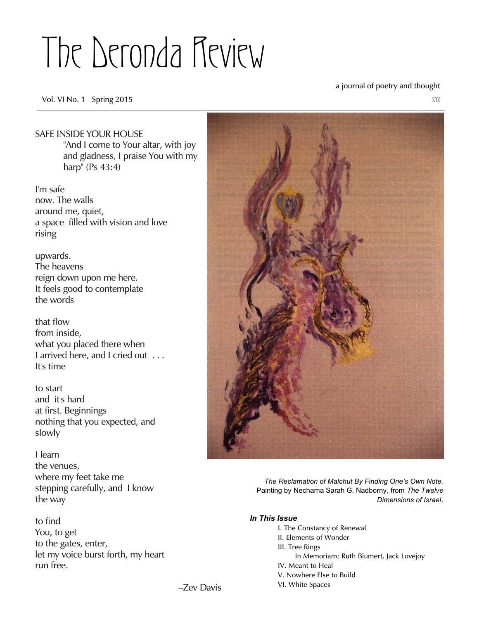# The Deronda Review

**Vol. VI No. 1** Spring 2015  $\frac{57.00}{200}$ 

# a journal of poetry and thought

# SAFE INSIDE YOUR HOUSE "And I come to Your altar, with joy

and gladness, I praise You with my harp" (Ps 43:4)

I'm safe now. The walls around me, quiet, a space filled with vision and love rising

upwards. The heavens reign down upon me here. It feels good to contemplate the words

that flow from inside, what you placed there when I arrived here, and I cried out . . . It's time

to start and it's hard at first. Beginnings nothing that you expected, and slowly

I learn the venues, where my feet take me stepping carefully, and I know the way

to find You, to get to the gates, enter, let my voice burst forth, my heart run free.



*The Reclamation of Malchut By Finding One's Own Note.* Painting by Nechama Sarah G. Nadborny, from *The Twelve Dimensions of Israel.*

# *In This Issue*

- *I. The Constancy of Renewal*
- *II. Elements of Wonder*
- *III. Tree Rings*
	- *In Memoriam: Ruth Blumert, Jack Lovejoy*
- *IV. Meant to Heal V. Nowhere Else to Build*
- *VI. White Spaces*
- 

–Zev Davis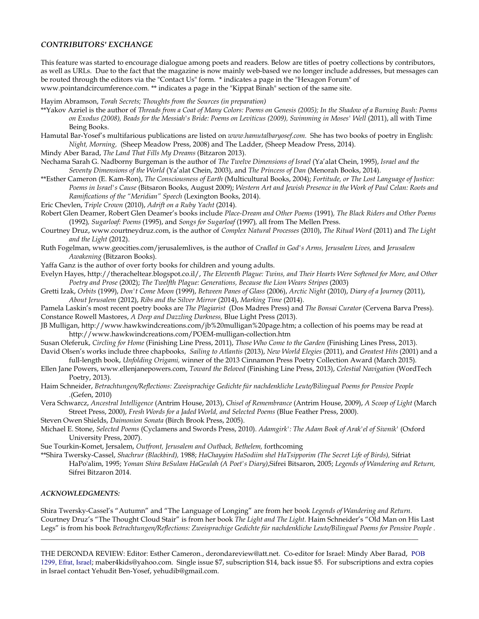#### *CONTRIBUTORS' EXCHANGE*

This feature was started to encourage dialogue among poets and readers. Below are titles of poetry collections by contributors, as well as URLs. Due to the fact that the magazine is now mainly web-based we no longer include addresses, but messages can be routed through the editors via the "Contact Us" form. \* indicates a page in the "Hexagon Forum" of www.pointandcircumference.com. \*\* indicates a page in the "Kippat Binah" section of the same site.

Hayim Abramson, *Torah Secrets; Thoughts from the Sources (in preparation)*

- \*\*Yakov Azriel is the author of *Threads from a Coat of Many Colors: Poems on Genesis (2005); In the Shadow of a Burning Bush: Poems on Exodus (2008), Beads for the Messiah's Bride: Poems on Leviticus (2009), Swimming in Moses' Well* (2011), all with Time Being Books.
- Hamutal Bar-Yosef's multifarious publications are listed on *www.hamutalbaryosef.com.* She has two books of poetry in English: *Night, Morning,* (Sheep Meadow Press, 2008) and The Ladder, (Sheep Meadow Press, 2014).

Mindy Aber Barad, *The Land That Fills My Dreams* (Bitzaron 2013).

- Nechama Sarah G. Nadborny Burgeman is the author of *The Twelve Dimensions of Israel* (Ya'alat Chein, 1995), *Israel and the Seventy Dimensions of the World* (Ya'alat Chein, 2003), and *The Princess of Dan* (Menorah Books, 2014).
- \*\*Esther Cameron (E. Kam-Ron), *The Consciousness of Earth* (Multicultural Books, 2004); *Fortitude, or The Lost Language of Justice: Poems in Israel's Cause* (Bitsaron Books, August 2009); *Western Art and Jewish Presence in the Work of Paul Celan: Roots and Ramifications of the "Meridian" Speech* (Lexington Books, 2014).
- Eric Chevlen, *Triple Crown* (2010), *Adrift on a Ruby Yacht* (2014).
- Robert Glen Deamer, Robert Glen Deamer's books include *Place-Dream and Other Poems* (1991)*, The Black Riders and Other Poems* (1992)*, Sugarloaf: Poems* (1995), and *Songs for Sugarloaf* (1997)*,* all from The Mellen Press.
- Courtney Druz, www.courtneydruz.com, is the author of *Complex Natural Processes* (2010), *The Ritual Word* (2011) and *The Light and the Light* (2012).
- Ruth Fogelman, www.geocities.com/jerusalemlives, is the author of *Cradled in God's Arms, Jerusalem Lives,* and *Jerusalem Awakening* (Bitzaron Books).
- Yaffa Ganz is the author of over forty books for children and young adults.
- Evelyn Hayes, http://theracheltear.blogspot.co.il/, *The Eleventh Plague: Twins, and Their Hearts Were Softened for More, and Other Poetry and Prose* (2002); *The Twelfth Plague: Generations, Because the Lion Wears Stripes* (2003)
- Gretti Izak, *Orbits* (1999), *Don't Come Moon* (1999), *Between Panes of Glass* (2006), *Arctic Night* (2010), *Diary of a Journey* (2011), *About Jerusalem* (2012), *Ribs and the Silver Mirror* (2014), *Marking Time* (2014).
- Pamela Laskin's most recent poetry books are *The Plagiarist* (Dos Madres Press) and *The Bonsai Curator* (Cervena Barva Press). Constance Rowell Mastores, *A Deep and Dazzling Darkness,* Blue Light Press (2013).
- JB Mulligan, http://www.hawkwindcreations.com/jb%20mulligan%20page.htm; a collection of his poems may be read at http://www.hawkwindcreations.com/POEM-mulligan-collection.htm
- Susan Oleferuk, *Circling for Home* (Finishing Line Press, 2011), *Those Who Come to the Garden* (Finishing Lines Press, 2013). David Olsen's works include three chapbooks, *Sailing to Atlantis* (2013), *New World Elegies* (2011), and *Greatest Hits* (2001) and a
- full-length book, *Unfolding Origami,* winner of the 2013 Cinnamon Press Poetry Collection Award (March 2015).
- Ellen Jane Powers, www.ellenjanepowers.com, *Toward the Beloved* (Finishing Line Press, 2013), *Celestial Navigation* (WordTech Poetry, 2013).
- Haim Schneider, *Betrachtungen/Reflections: Zweisprachige Gedichte für nachdenkliche Leute/Bilingual Poems for Pensive People* .(Gefen, 2010)
- Vera Schwarcz, *Ancestral Intelligence* (Antrim House, 2013), *Chisel of Remembrance* (Antrim House, 2009), *A Scoop of Light* (March Street Press, 2000), *Fresh Words for a Jaded World, and Selected Poems* (Blue Feather Press, 2000).
- Steven Owen Shields, *Daimonion Sonata* (Birch Brook Press, 2005).
- Michael E. Stone, *Selected Poems* (Cyclamens and Swords Press, 2010). *Adamgirk': The Adam Book of Arak'el of Siwnik'* (Oxford University Press, 2007).

Sue Tourkin-Komet, Jersalem, *Outfront, Jerusalem and Outback, Bethelem,* forthcoming

\*\*Shira Twersky-Cassel, *Shachrur (Blackbird),* 1988; *HaChayyim HaSodiim shel HaTsipporim (The Secret Life of Birds),* Sifriat HaPo'alim, 1995; *Yoman Shira BeSulam HaGeulah (A Poet's Diary)*,Sifrei Bitsaron, 2005; *Legends of Wandering and Return,* Sifrei Bitzaron 2014.

#### *ACKNOWLEDGMENTS:*

Shira Twersky-Cassel's "Autumn" and "The Language of Longing" are from her book *Legends of Wandering and Return*. Courtney Druz's "The Thought Cloud Stair" is from her book *The Light and The Light.* Haim Schneider's "Old Man on His Last Legs" is from his book *Betrachtungen/Reflections: Zweisprachige Gedichte für nachdenkliche Leute/Bilingual Poems for Pensive People* .

 $\_$  ,  $\_$  ,  $\_$  ,  $\_$  ,  $\_$  ,  $\_$  ,  $\_$  ,  $\_$  ,  $\_$  ,  $\_$  ,  $\_$  ,  $\_$  ,  $\_$  ,  $\_$  ,  $\_$  ,  $\_$  ,  $\_$  ,  $\_$  ,  $\_$  ,  $\_$  ,  $\_$  ,  $\_$  ,  $\_$  ,  $\_$  ,  $\_$  ,  $\_$  ,  $\_$  ,  $\_$  ,  $\_$  ,  $\_$  ,  $\_$  ,  $\_$  ,  $\_$  ,  $\_$  ,  $\_$  ,  $\_$  ,  $\_$  ,

THE DERONDA REVIEW: Editor: Esther Cameron., derondareview@att.net. Co-editor for Israel: Mindy Aber Barad, POB 1299, Efrat, Israel; maber4kids@yahoo.com. Single issue \$7, subscription \$14, back issue \$5. For subscriptions and extra copies in Israel contact Yehudit Ben-Yosef, yehudib@gmail.com.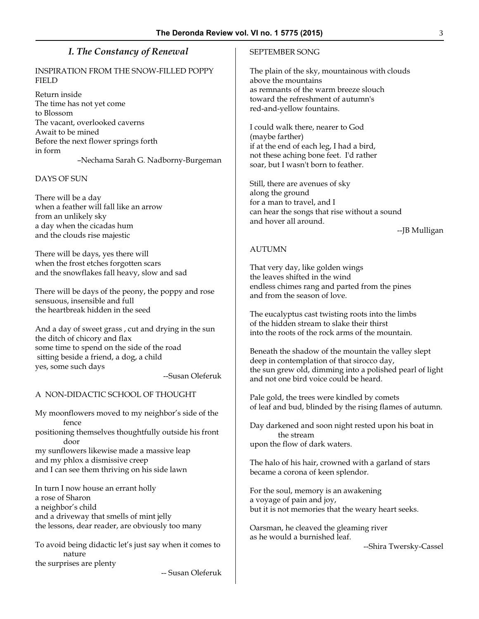# *I. The Constancy of Renewal*

### INSPIRATION FROM THE SNOW-FILLED POPPY FIELD

Return inside The time has not yet come to Blossom The vacant, overlooked caverns Await to be mined Before the next flower springs forth in form –Nechama Sarah G. Nadborny-Burgeman

#### DAYS OF SUN

There will be a day when a feather will fall like an arrow from an unlikely sky a day when the cicadas hum and the clouds rise majestic

There will be days, yes there will when the frost etches forgotten scars and the snowflakes fall heavy, slow and sad

There will be days of the peony, the poppy and rose sensuous, insensible and full the heartbreak hidden in the seed

And a day of sweet grass , cut and drying in the sun the ditch of chicory and flax some time to spend on the side of the road sitting beside a friend, a dog, a child yes, some such days

--Susan Oleferuk

#### A NON-DIDACTIC SCHOOL OF THOUGHT

My moonflowers moved to my neighbor's side of the fence positioning themselves thoughtfully outside his front door my sunflowers likewise made a massive leap and my phlox a dismissive creep and I can see them thriving on his side lawn

In turn I now house an errant holly a rose of Sharon a neighbor's child and a driveway that smells of mint jelly the lessons, dear reader, are obviously too many

To avoid being didactic let's just say when it comes to nature the surprises are plenty -- Susan Oleferuk SEPTEMBER SONG

The plain of the sky, mountainous with clouds above the mountains as remnants of the warm breeze slouch toward the refreshment of autumn's red-and-yellow fountains.

I could walk there, nearer to God (maybe farther) if at the end of each leg, I had a bird, not these aching bone feet. I'd rather soar, but I wasn't born to feather.

Still, there are avenues of sky along the ground for a man to travel, and I can hear the songs that rise without a sound and hover all around.

--JB Mulligan

#### AUTUMN

That very day, like golden wings the leaves shifted in the wind endless chimes rang and parted from the pines and from the season of love.

The eucalyptus cast twisting roots into the limbs of the hidden stream to slake their thirst into the roots of the rock arms of the mountain.

Beneath the shadow of the mountain the valley slept deep in contemplation of that sirocco day, the sun grew old, dimming into a polished pearl of light and not one bird voice could be heard.

Pale gold, the trees were kindled by comets of leaf and bud, blinded by the rising flames of autumn.

Day darkened and soon night rested upon his boat in the stream upon the flow of dark waters.

The halo of his hair, crowned with a garland of stars became a corona of keen splendor.

For the soul, memory is an awakening a voyage of pain and joy, but it is not memories that the weary heart seeks.

Oarsman, he cleaved the gleaming river as he would a burnished leaf.

--Shira Twersky-Cassel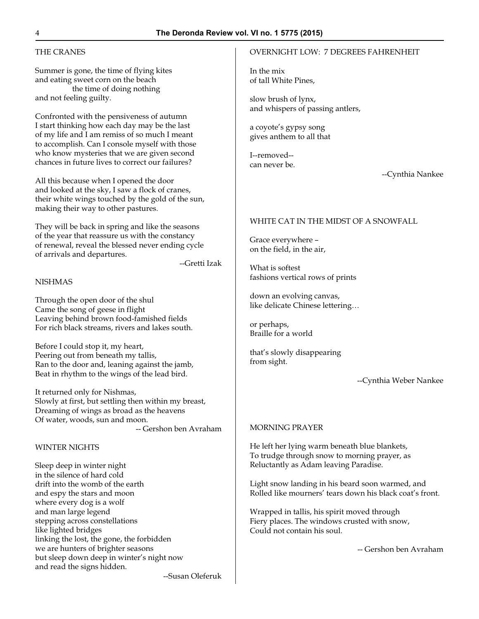# THE CRANES

Summer is gone, the time of flying kites and eating sweet corn on the beach the time of doing nothing and not feeling guilty.

Confronted with the pensiveness of autumn I start thinking how each day may be the last of my life and I am remiss of so much I meant to accomplish. Can I console myself with those who know mysteries that we are given second chances in future lives to correct our failures?

All this because when I opened the door and looked at the sky, I saw a flock of cranes, their white wings touched by the gold of the sun, making their way to other pastures.

They will be back in spring and like the seasons of the year that reassure us with the constancy of renewal, reveal the blessed never ending cycle of arrivals and departures.

--Gretti Izak

# **NISHMAS**

Through the open door of the shul Came the song of geese in flight Leaving behind brown food-famished fields For rich black streams, rivers and lakes south.

Before I could stop it, my heart, Peering out from beneath my tallis, Ran to the door and, leaning against the jamb, Beat in rhythm to the wings of the lead bird.

It returned only for Nishmas, Slowly at first, but settling then within my breast, Dreaming of wings as broad as the heavens Of water, woods, sun and moon.

-- Gershon ben Avraham

#### WINTER NIGHTS

Sleep deep in winter night in the silence of hard cold drift into the womb of the earth and espy the stars and moon where every dog is a wolf and man large legend stepping across constellations like lighted bridges linking the lost, the gone, the forbidden we are hunters of brighter seasons but sleep down deep in winter's night now and read the signs hidden.

# OVERNIGHT LOW: 7 DEGREES FAHRENHEIT

In the mix of tall White Pines,

slow brush of lynx, and whispers of passing antlers,

a coyote's gypsy song gives anthem to all that

I--removed- can never be.

--Cynthia Nankee

#### WHITE CAT IN THE MIDST OF A SNOWFALL

Grace everywhere – on the field, in the air,

What is softest fashions vertical rows of prints

down an evolving canvas, like delicate Chinese lettering…

or perhaps, Braille for a world

that's slowly disappearing from sight.

--Cynthia Weber Nankee

#### MORNING PRAYER

He left her lying warm beneath blue blankets, To trudge through snow to morning prayer, as Reluctantly as Adam leaving Paradise.

Light snow landing in his beard soon warmed, and Rolled like mourners' tears down his black coat's front.

Wrapped in tallis, his spirit moved through Fiery places. The windows crusted with snow, Could not contain his soul.

-- Gershon ben Avraham

--Susan Oleferuk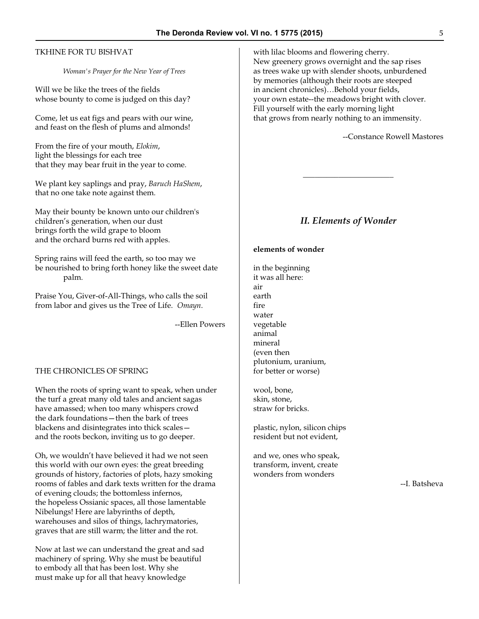# TKHINE FOR TU BISHVAT

*Woman's Prayer for the New Year of Trees*

Will we be like the trees of the fields whose bounty to come is judged on this day?

Come, let us eat figs and pears with our wine, and feast on the flesh of plums and almonds!

From the fire of your mouth, *Elokim*, light the blessings for each tree that they may bear fruit in the year to come.

We plant key saplings and pray, *Baruch HaShem*, that no one take note against them.

May their bounty be known unto our children's children's generation, when our dust brings forth the wild grape to bloom and the orchard burns red with apples.

Spring rains will feed the earth, so too may we be nourished to bring forth honey like the sweet date palm.

Praise You, Giver-of-All-Things, who calls the soil from labor and gives us the Tree of Life. *Omayn*.

--Ellen Powers

#### THE CHRONICLES OF SPRING

When the roots of spring want to speak, when under the turf a great many old tales and ancient sagas have amassed; when too many whispers crowd the dark foundations—then the bark of trees blackens and disintegrates into thick scales and the roots beckon, inviting us to go deeper.

Oh, we wouldn't have believed it had we not seen this world with our own eyes: the great breeding grounds of history, factories of plots, hazy smoking rooms of fables and dark texts written for the drama of evening clouds; the bottomless infernos, the hopeless Ossianic spaces, all those lamentable Nibelungs! Here are labyrinths of depth, warehouses and silos of things, lachrymatories, graves that are still warm; the litter and the rot.

Now at last we can understand the great and sad machinery of spring. Why she must be beautiful to embody all that has been lost. Why she must make up for all that heavy knowledge

with lilac blooms and flowering cherry. New greenery grows overnight and the sap rises as trees wake up with slender shoots, unburdened by memories (although their roots are steeped in ancient chronicles)…Behold your fields, your own estate--the meadows bright with clover. Fill yourself with the early morning light that grows from nearly nothing to an immensity.

--Constance Rowell Mastores

# *II. Elements of Wonder*

 $\overline{\phantom{a}}$  , where  $\overline{\phantom{a}}$  , where  $\overline{\phantom{a}}$ 

#### **elements of wonder**

in the beginning it was all here: air earth fire water vegetable animal mineral (even then plutonium, uranium, for better or worse)

wool, bone, skin, stone, straw for bricks.

plastic, nylon, silicon chips resident but not evident,

and we, ones who speak, transform, invent, create wonders from wonders

--I. Batsheva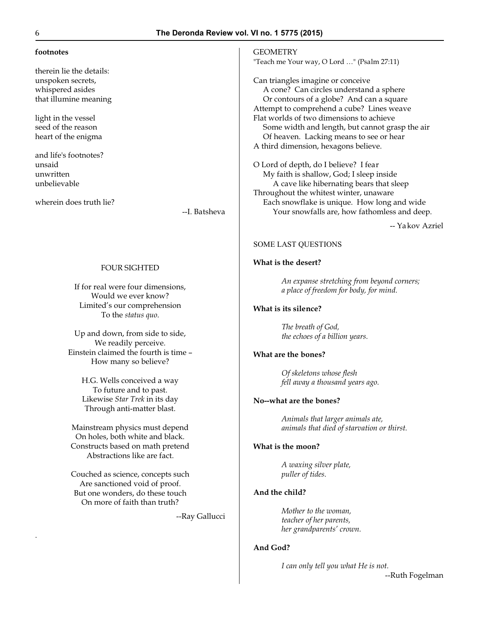#### **footnotes**

therein lie the details: unspoken secrets, whispered asides that illumine meaning

light in the vessel seed of the reason heart of the enigma

and life's footnotes? unsaid unwritten unbelievable

wherein does truth lie?

--I. Batsheva

#### FOUR SIGHTED

If for real were four dimensions, Would we ever know? Limited's our comprehension To the *status quo*.

Up and down, from side to side, We readily perceive. Einstein claimed the fourth is time – How many so believe?

> H.G. Wells conceived a way To future and to past. Likewise *Star Trek* in its day Through anti-matter blast.

Mainstream physics must depend On holes, both white and black. Constructs based on math pretend Abstractions like are fact.

Couched as science, concepts such Are sanctioned void of proof. But one wonders, do these touch On more of faith than truth?

--Ray Gallucci

**GEOMETRY** "Teach me Your way, O Lord …" (Psalm 27:11)

Can triangles imagine or conceive A cone? Can circles understand a sphere Or contours of a globe? And can a square Attempt to comprehend a cube? Lines weave Flat worlds of two dimensions to achieve Some width and length, but cannot grasp the air Of heaven. Lacking means to see or hear A third dimension, hexagons believe.

O Lord of depth, do I believe? I fear My faith is shallow, God; I sleep inside A cave like hibernating bears that sleep Throughout the whitest winter, unaware Each snowflake is unique. How long and wide Your snowfalls are, how fathomless and deep.

-- Yakov Azriel

#### SOME LAST QUESTIONS

#### **What is the desert?**

*An expanse stretching from beyond corners; a place of freedom for body, for mind.*

#### **What is its silence?**

*The breath of God, the echoes of a billion years.*

#### **What are the bones?**

*Of skeletons whose flesh fell away a thousand years ago.*

#### **No--what are the bones?**

*Animals that larger animals ate, animals that died of starvation or thirst.*

#### **What is the moon?**

*A waxing silver plate, puller of tides.*

#### **And the child?**

*Mother to the woman, teacher of her parents, her grandparents' crown.*

#### **And God?**

*I can only tell you what He is not.*

.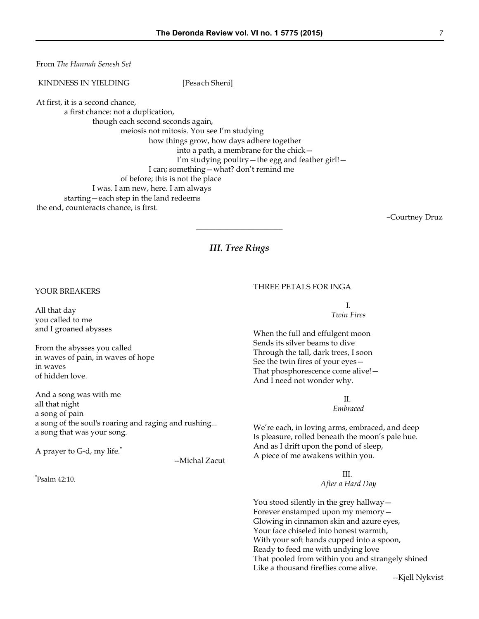From *The Hannah Senesh Set*

KINDNESS IN YIELDING [Pesach Sheni]

At first, it is a second chance,

a first chance: not a duplication,

though each second seconds again,

meiosis not mitosis. You see I'm studying

how things grow, how days adhere together into a path, a membrane for the chick— I'm studying poultry—the egg and feather girl!— I can; something—what? don't remind me

- of before; this is not the place
- I was. I am new, here. I am always
- starting—each step in the land redeems

the end, counteracts chance, is first.

–Courtney Druz

# *III. Tree Rings*

\_\_\_\_\_\_\_\_\_\_\_\_\_\_\_\_\_\_\_\_\_\_

YOUR BREAKERS

All that day you called to me and I groaned abysses

From the abysses you called in waves of pain, in waves of hope in waves of hidden love.

And a song was with me all that night a song of pain a song of the soul's roaring and raging and rushing... a song that was your song.

A prayer to G-d, my life.\*

--Michal Zacut

\* Psalm 42:10.

#### THREE PETALS FOR INGA

I. *Twin Fires*

When the full and effulgent moon Sends its silver beams to dive Through the tall, dark trees, I soon See the twin fires of your eyes— That phosphorescence come alive!— And I need not wonder why.

II.

*Embraced*

We're each, in loving arms, embraced, and deep Is pleasure, rolled beneath the moon's pale hue. And as I drift upon the pond of sleep, A piece of me awakens within you.

III.

*After a Hard Day*

You stood silently in the grey hallway— Forever enstamped upon my memory— Glowing in cinnamon skin and azure eyes, Your face chiseled into honest warmth, With your soft hands cupped into a spoon, Ready to feed me with undying love That pooled from within you and strangely shined Like a thousand fireflies come alive.

--Kjell Nykvist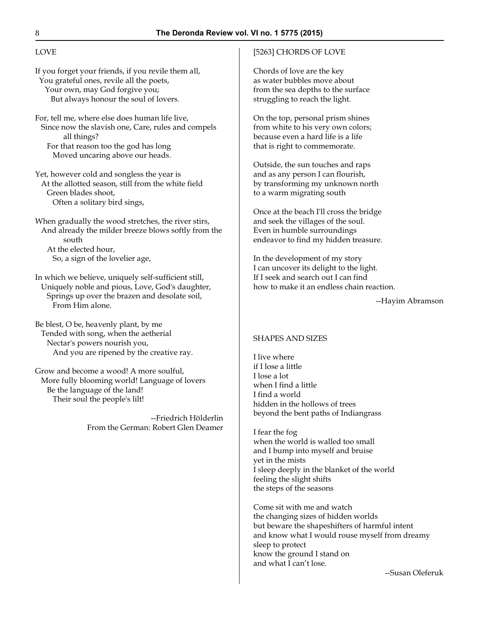# LOVE

If you forget your friends, if you revile them all, You grateful ones, revile all the poets, Your own, may God forgive you; But always honour the soul of lovers.

For, tell me, where else does human life live, Since now the slavish one, Care, rules and compels all things? For that reason too the god has long Moved uncaring above our heads.

Yet, however cold and songless the year is At the allotted season, still from the white field Green blades shoot, Often a solitary bird sings,

When gradually the wood stretches, the river stirs, And already the milder breeze blows softly from the south At the elected hour, So, a sign of the lovelier age,

In which we believe, uniquely self-sufficient still, Uniquely noble and pious, Love, God's daughter, Springs up over the brazen and desolate soil, From Him alone.

Be blest, O be, heavenly plant, by me Tended with song, when the aetherial Nectar's powers nourish you, And you are ripened by the creative ray.

Grow and become a wood! A more soulful, More fully blooming world! Language of lovers Be the language of the land! Their soul the people's lilt!

> --Friedrich Hölderlin From the German: Robert Glen Deamer

#### [5263] CHORDS OF LOVE

Chords of love are the key as water bubbles move about from the sea depths to the surface struggling to reach the light.

On the top, personal prism shines from white to his very own colors; because even a hard life is a life that is right to commemorate.

Outside, the sun touches and raps and as any person I can flourish, by transforming my unknown north to a warm migrating south

Once at the beach I'll cross the bridge and seek the villages of the soul. Even in humble surroundings endeavor to find my hidden treasure.

In the development of my story I can uncover its delight to the light. If I seek and search out I can find how to make it an endless chain reaction.

--Hayim Abramson

#### SHAPES AND SIZES

I live where if I lose a little I lose a lot when I find a little I find a world hidden in the hollows of trees beyond the bent paths of Indiangrass

I fear the fog when the world is walled too small and I bump into myself and bruise yet in the mists I sleep deeply in the blanket of the world feeling the slight shifts the steps of the seasons

Come sit with me and watch the changing sizes of hidden worlds but beware the shapeshifters of harmful intent and know what I would rouse myself from dreamy sleep to protect know the ground I stand on and what I can't lose.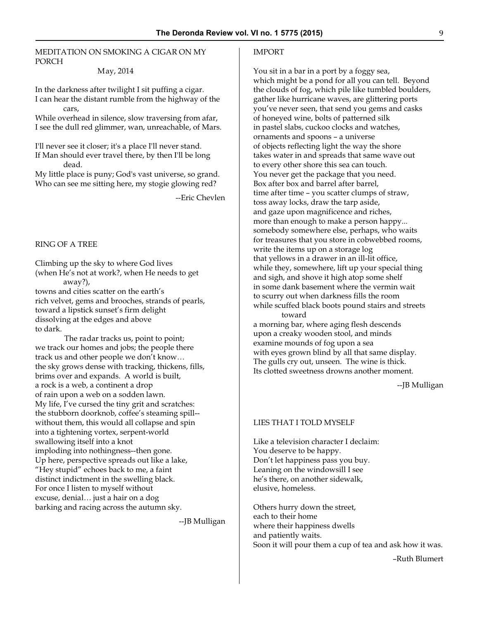# MEDITATION ON SMOKING A CIGAR ON MY PORCH

#### May, 2014

In the darkness after twilight I sit puffing a cigar. I can hear the distant rumble from the highway of the cars,

While overhead in silence, slow traversing from afar, I see the dull red glimmer, wan, unreachable, of Mars.

I'll never see it closer; it's a place I'll never stand. If Man should ever travel there, by then I'll be long dead.

My little place is puny; God's vast universe, so grand. Who can see me sitting here, my stogie glowing red?

--Eric Chevlen

#### RING OF A TREE

Climbing up the sky to where God lives (when He's not at work?, when He needs to get away?), towns and cities scatter on the earth's

rich velvet, gems and brooches, strands of pearls, toward a lipstick sunset's firm delight dissolving at the edges and above to dark.

 The radar tracks us, point to point; we track our homes and jobs; the people there track us and other people we don't know… the sky grows dense with tracking, thickens, fills, brims over and expands. A world is built, a rock is a web, a continent a drop of rain upon a web on a sodden lawn. My life, I've cursed the tiny grit and scratches: the stubborn doorknob, coffee's steaming spill- without them, this would all collapse and spin into a tightening vortex, serpent-world swallowing itself into a knot imploding into nothingness--then gone. Up here, perspective spreads out like a lake, "Hey stupid" echoes back to me, a faint distinct indictment in the swelling black. For once I listen to myself without excuse, denial… just a hair on a dog barking and racing across the autumn sky.

--JB Mulligan

#### IMPORT

You sit in a bar in a port by a foggy sea, which might be a pond for all you can tell. Beyond the clouds of fog, which pile like tumbled boulders, gather like hurricane waves, are glittering ports you've never seen, that send you gems and casks of honeyed wine, bolts of patterned silk in pastel slabs, cuckoo clocks and watches, ornaments and spoons – a universe of objects reflecting light the way the shore takes water in and spreads that same wave out to every other shore this sea can touch. You never get the package that you need. Box after box and barrel after barrel, time after time – you scatter clumps of straw, toss away locks, draw the tarp aside, and gaze upon magnificence and riches, more than enough to make a person happy... somebody somewhere else, perhaps, who waits for treasures that you store in cobwebbed rooms, write the items up on a storage log that yellows in a drawer in an ill-lit office, while they, somewhere, lift up your special thing and sigh, and shove it high atop some shelf in some dank basement where the vermin wait to scurry out when darkness fills the room while scuffed black boots pound stairs and streets toward

a morning bar, where aging flesh descends upon a creaky wooden stool, and minds examine mounds of fog upon a sea with eyes grown blind by all that same display. The gulls cry out, unseen. The wine is thick. Its clotted sweetness drowns another moment.

--JB Mulligan

#### LIES THAT I TOLD MYSELF

Like a television character I declaim: You deserve to be happy. Don't let happiness pass you buy. Leaning on the windowsill I see he's there, on another sidewalk, elusive, homeless.

Others hurry down the street, each to their home where their happiness dwells and patiently waits. Soon it will pour them a cup of tea and ask how it was.

–Ruth Blumert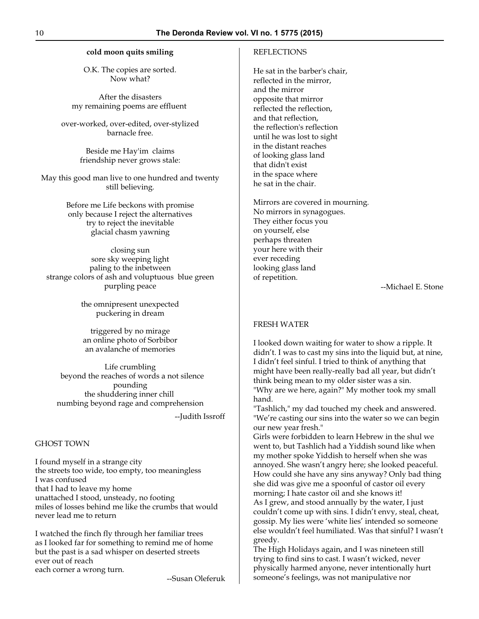#### **cold moon quits smiling**

O.K. The copies are sorted. Now what?

After the disasters my remaining poems are effluent

over-worked, over-edited, over-stylized barnacle free.

> Beside me Hay'im claims friendship never grows stale:

May this good man live to one hundred and twenty still believing.

> Before me Life beckons with promise only because I reject the alternatives try to reject the inevitable glacial chasm yawning

closing sun sore sky weeping light paling to the inbetween strange colors of ash and voluptuous blue green purpling peace

> the omnipresent unexpected puckering in dream

triggered by no mirage an online photo of Sorbibor an avalanche of memories

Life crumbling beyond the reaches of words a not silence pounding the shuddering inner chill numbing beyond rage and comprehension

--Judith Issroff

#### GHOST TOWN

I found myself in a strange city the streets too wide, too empty, too meaningless I was confused that I had to leave my home unattached I stood, unsteady, no footing miles of losses behind me like the crumbs that would never lead me to return

I watched the finch fly through her familiar trees as I looked far for something to remind me of home but the past is a sad whisper on deserted streets ever out of reach each corner a wrong turn.

--Susan Oleferuk

#### REFLECTIONS

He sat in the barber's chair, reflected in the mirror, and the mirror opposite that mirror reflected the reflection, and that reflection, the reflection's reflection until he was lost to sight in the distant reaches of looking glass land that didn't exist in the space where he sat in the chair.

Mirrors are covered in mourning. No mirrors in synagogues. They either focus you on yourself, else perhaps threaten your here with their ever receding looking glass land of repetition.

--Michael E. Stone

#### FRESH WATER

I looked down waiting for water to show a ripple. It didn't. I was to cast my sins into the liquid but, at nine, I didn't feel sinful. I tried to think of anything that might have been really-really bad all year, but didn't think being mean to my older sister was a sin. "Why are we here, again?" My mother took my small hand.

"Tashlich," my dad touched my cheek and answered. "We're casting our sins into the water so we can begin our new year fresh."

Girls were forbidden to learn Hebrew in the shul we went to, but Tashlich had a Yiddish sound like when my mother spoke Yiddish to herself when she was annoyed. She wasn't angry here; she looked peaceful. How could she have any sins anyway? Only bad thing she did was give me a spoonful of castor oil every morning; I hate castor oil and she knows it! As I grew, and stood annually by the water, I just couldn't come up with sins. I didn't envy, steal, cheat, gossip. My lies were 'white lies' intended so someone else wouldn't feel humiliated. Was that sinful? I wasn't greedy.

The High Holidays again, and I was nineteen still trying to find sins to cast. I wasn't wicked, never physically harmed anyone, never intentionally hurt someone's feelings, was not manipulative nor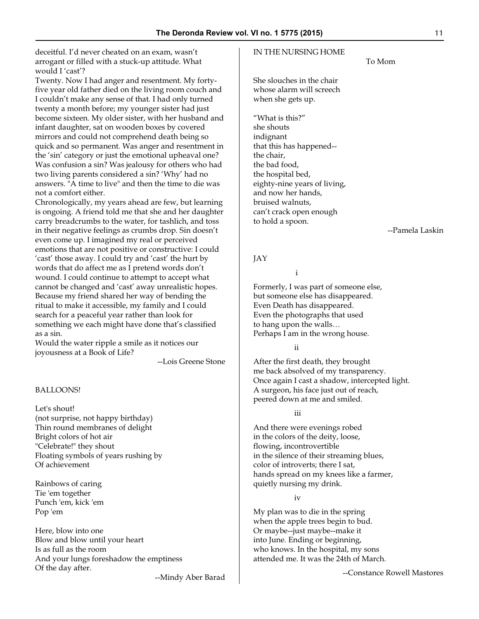deceitful. I'd never cheated on an exam, wasn't arrogant or filled with a stuck-up attitude. What would I 'cast'?

Twenty. Now I had anger and resentment. My fortyfive year old father died on the living room couch and I couldn't make any sense of that. I had only turned twenty a month before; my younger sister had just become sixteen. My older sister, with her husband and infant daughter, sat on wooden boxes by covered mirrors and could not comprehend death being so quick and so permanent. Was anger and resentment in the 'sin' category or just the emotional upheaval one? Was confusion a sin? Was jealousy for others who had two living parents considered a sin? 'Why' had no answers. "A time to live" and then the time to die was not a comfort either.

Chronologically, my years ahead are few, but learning is ongoing. A friend told me that she and her daughter carry breadcrumbs to the water, for tashlich, and toss in their negative feelings as crumbs drop. Sin doesn't even come up. I imagined my real or perceived emotions that are not positive or constructive: I could 'cast' those away. I could try and 'cast' the hurt by words that do affect me as I pretend words don't wound. I could continue to attempt to accept what cannot be changed and 'cast' away unrealistic hopes. Because my friend shared her way of bending the ritual to make it accessible, my family and I could search for a peaceful year rather than look for something we each might have done that's classified as a sin.

Would the water ripple a smile as it notices our joyousness at a Book of Life?

--Lois Greene Stone

#### BALLOONS!

Let's shout! (not surprise, not happy birthday) Thin round membranes of delight Bright colors of hot air "Celebrate!" they shout Floating symbols of years rushing by Of achievement

Rainbows of caring Tie 'em together Punch 'em, kick 'em Pop 'em

Here, blow into one Blow and blow until your heart Is as full as the room And your lungs foreshadow the emptiness Of the day after.

--Mindy Aber Barad

#### IN THE NURSING HOME

She slouches in the chair whose alarm will screech when she gets up.

"What is this?" she shouts indignant that this has happened- the chair, the bad food, the hospital bed, eighty-nine years of living, and now her hands, bruised walnuts, can't crack open enough to hold a spoon.

--Pamela Laskin

#### JAY

i

Formerly, I was part of someone else, but someone else has disappeared. Even Death has disappeared. Even the photographs that used to hang upon the walls… Perhaps I am in the wrong house.

ii

After the first death, they brought me back absolved of my transparency. Once again I cast a shadow, intercepted light. A surgeon, his face just out of reach, peered down at me and smiled.

iii

And there were evenings robed in the colors of the deity, loose, flowing, incontrovertible in the silence of their streaming blues, color of introverts; there I sat, hands spread on my knees like a farmer, quietly nursing my drink.

iv

My plan was to die in the spring when the apple trees begin to bud. Or maybe--just maybe--make it into June. Ending or beginning, who knows. In the hospital, my sons attended me. It was the 24th of March.

--Constance Rowell Mastores

To Mom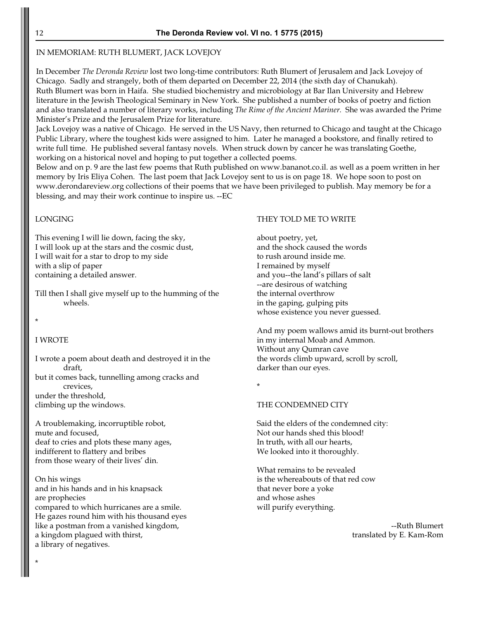# IN MEMORIAM: RUTH BLUMERT, JACK LOVEJOY

In December *The Deronda Review* lost two long-time contributors: Ruth Blumert of Jerusalem and Jack Lovejoy of Chicago. Sadly and strangely, both of them departed on December 22, 2014 (the sixth day of Chanukah). Ruth Blumert was born in Haifa. She studied biochemistry and microbiology at Bar Ilan University and Hebrew literature in the Jewish Theological Seminary in New York. She published a number of books of poetry and fiction and also translated a number of literary works, including *The Rime of the Ancient Mariner.* She was awarded the Prime Minister's Prize and the Jerusalem Prize for literature.

Jack Lovejoy was a native of Chicago. He served in the US Navy, then returned to Chicago and taught at the Chicago Public Library, where the toughest kids were assigned to him. Later he managed a bookstore, and finally retired to write full time. He published several fantasy novels. When struck down by cancer he was translating Goethe, working on a historical novel and hoping to put together a collected poems.

Below and on p. 9 are the last few poems that Ruth published on www.bananot.co.il. as well as a poem written in her memory by Iris Eliya Cohen. The last poem that Jack Lovejoy sent to us is on page 18. We hope soon to post on www.derondareview.org collections of their poems that we have been privileged to publish. May memory be for a blessing, and may their work continue to inspire us. --EC

# LONGING

This evening I will lie down, facing the sky, I will look up at the stars and the cosmic dust, I will wait for a star to drop to my side with a slip of paper containing a detailed answer.

Till then I shall give myself up to the humming of the wheels.

\*

\*

# I WROTE

I wrote a poem about death and destroyed it in the draft, but it comes back, tunnelling among cracks and crevices,

under the threshold, climbing up the windows.

A troublemaking, incorruptible robot, mute and focused, deaf to cries and plots these many ages, indifferent to flattery and bribes from those weary of their lives' din.

On his wings and in his hands and in his knapsack are prophecies compared to which hurricanes are a smile. He gazes round him with his thousand eyes like a postman from a vanished kingdom, a kingdom plagued with thirst, a library of negatives.

#### THEY TOLD ME TO WRITE

about poetry, yet, and the shock caused the words to rush around inside me. I remained by myself and you--the land's pillars of salt --are desirous of watching the internal overthrow in the gaping, gulping pits whose existence you never guessed.

And my poem wallows amid its burnt-out brothers in my internal Moab and Ammon. Without any Qumran cave the words climb upward, scroll by scroll, darker than our eyes.

\*

# THE CONDEMNED CITY

Said the elders of the condemned city: Not our hands shed this blood! In truth, with all our hearts, We looked into it thoroughly.

What remains to be revealed is the whereabouts of that red cow that never bore a yoke and whose ashes will purify everything.

> --Ruth Blumert translated by E. Kam-Rom

12 **The Deronda Review vol. VI no. 1 5775 (2015)**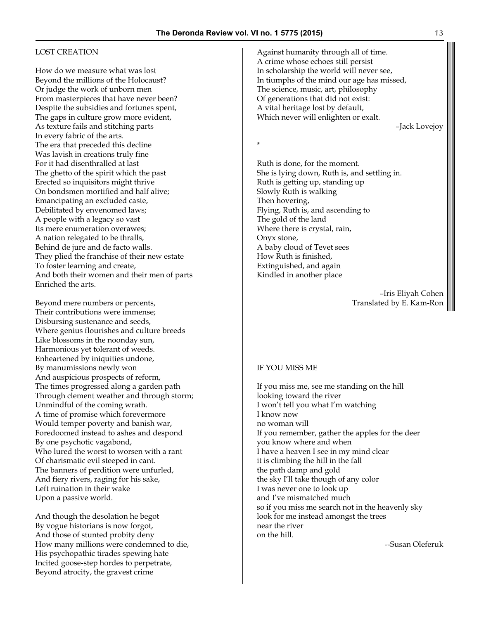# LOST CREATION

How do we measure what was lost Beyond the millions of the Holocaust? Or judge the work of unborn men From masterpieces that have never been? Despite the subsidies and fortunes spent, The gaps in culture grow more evident, As texture fails and stitching parts In every fabric of the arts. The era that preceded this decline Was lavish in creations truly fine For it had disenthralled at last The ghetto of the spirit which the past Erected so inquisitors might thrive On bondsmen mortified and half alive; Emancipating an excluded caste, Debilitated by envenomed laws; A people with a legacy so vast Its mere enumeration overawes; A nation relegated to be thralls, Behind de jure and de facto walls. They plied the franchise of their new estate To foster learning and create, And both their women and their men of parts Enriched the arts.

Beyond mere numbers or percents, Their contributions were immense; Disbursing sustenance and seeds, Where genius flourishes and culture breeds Like blossoms in the noonday sun, Harmonious yet tolerant of weeds. Enheartened by iniquities undone, By manumissions newly won And auspicious prospects of reform, The times progressed along a garden path Through clement weather and through storm; Unmindful of the coming wrath. A time of promise which forevermore Would temper poverty and banish war, Foredoomed instead to ashes and despond By one psychotic vagabond, Who lured the worst to worsen with a rant Of charismatic evil steeped in cant. The banners of perdition were unfurled, And fiery rivers, raging for his sake, Left ruination in their wake Upon a passive world.

And though the desolation he begot By vogue historians is now forgot, And those of stunted probity deny How many millions were condemned to die, His psychopathic tirades spewing hate Incited goose-step hordes to perpetrate, Beyond atrocity, the gravest crime

Against humanity through all of time. A crime whose echoes still persist In scholarship the world will never see, In tiumphs of the mind our age has missed, The science, music, art, philosophy Of generations that did not exist: A vital heritage lost by default, Which never will enlighten or exalt. –Jack Lovejoy

\*

Ruth is done, for the moment. She is lying down, Ruth is, and settling in. Ruth is getting up, standing up Slowly Ruth is walking Then hovering, Flying, Ruth is, and ascending to The gold of the land Where there is crystal, rain, Onyx stone, A baby cloud of Tevet sees How Ruth is finished, Extinguished, and again Kindled in another place

> –Iris Eliyah Cohen Translated by E. Kam-Ron

#### IF YOU MISS ME

If you miss me, see me standing on the hill looking toward the river I won't tell you what I'm watching I know now no woman will If you remember, gather the apples for the deer you know where and when I have a heaven I see in my mind clear it is climbing the hill in the fall the path damp and gold the sky I'll take though of any color I was never one to look up and I've mismatched much so if you miss me search not in the heavenly sky look for me instead amongst the trees near the river on the hill.

--Susan Oleferuk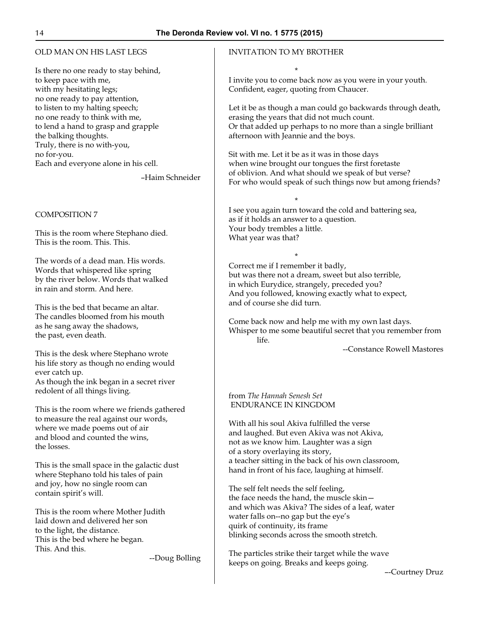# OLD MAN ON HIS LAST LEGS

Is there no one ready to stay behind, to keep pace with me, with my hesitating legs; no one ready to pay attention, to listen to my halting speech; no one ready to think with me, to lend a hand to grasp and grapple the balking thoughts. Truly, there is no with-you, no for-you. Each and everyone alone in his cell.

–Haim Schneider

# COMPOSITION 7

This is the room where Stephano died. This is the room. This. This.

The words of a dead man. His words. Words that whispered like spring by the river below. Words that walked in rain and storm. And here.

This is the bed that became an altar. The candles bloomed from his mouth as he sang away the shadows, the past, even death.

This is the desk where Stephano wrote his life story as though no ending would ever catch up. As though the ink began in a secret river redolent of all things living.

This is the room where we friends gathered to measure the real against our words, where we made poems out of air and blood and counted the wins, the losses.

This is the small space in the galactic dust where Stephano told his tales of pain and joy, how no single room can contain spirit's will.

This is the room where Mother Judith laid down and delivered her son to the light, the distance. This is the bed where he began. This. And this.

--Doug Bolling

# INVITATION TO MY BROTHER

 $\mathbf x$ I invite you to come back now as you were in your youth. Confident, eager, quoting from Chaucer.

Let it be as though a man could go backwards through death, erasing the years that did not much count. Or that added up perhaps to no more than a single brilliant afternoon with Jeannie and the boys.

Sit with me. Let it be as it was in those days when wine brought our tongues the first foretaste of oblivion. And what should we speak of but verse? For who would speak of such things now but among friends?

 $\star$ I see you again turn toward the cold and battering sea, as if it holds an answer to a question. Your body trembles a little. What year was that?

 $\star$ Correct me if I remember it badly, but was there not a dream, sweet but also terrible, in which Eurydice, strangely, preceded you? And you followed, knowing exactly what to expect, and of course she did turn.

Come back now and help me with my own last days. Whisper to me some beautiful secret that you remember from life.

--Constance Rowell Mastores

#### from *The Hannah Senesh Set* ENDURANCE IN KINGDOM

With all his soul Akiva fulfilled the verse and laughed. But even Akiva was not Akiva, not as we know him. Laughter was a sign of a story overlaying its story, a teacher sitting in the back of his own classroom, hand in front of his face, laughing at himself.

The self felt needs the self feeling, the face needs the hand, the muscle skin and which was Akiva? The sides of a leaf, water water falls on--no gap but the eye's quirk of continuity, its frame blinking seconds across the smooth stretch.

The particles strike their target while the wave keeps on going. Breaks and keeps going.

–-Courtney Druz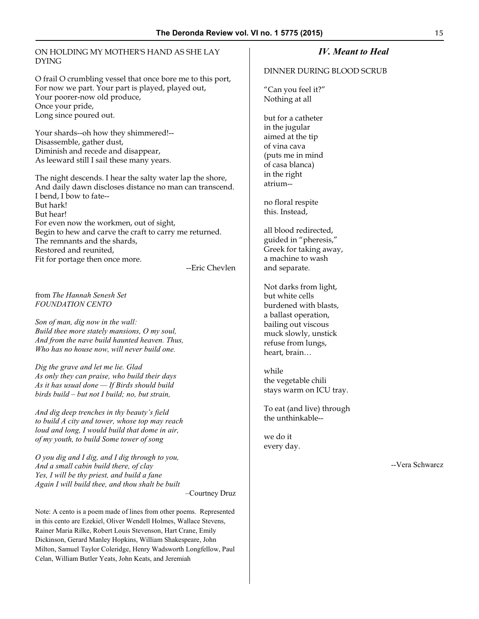#### ON HOLDING MY MOTHER'S HAND AS SHE LAY DYING

O frail O crumbling vessel that once bore me to this port, For now we part. Your part is played, played out, Your poorer-now old produce, Once your pride, Long since poured out.

Your shards--oh how they shimmered!-- Disassemble, gather dust, Diminish and recede and disappear, As leeward still I sail these many years.

The night descends. I hear the salty water lap the shore, And daily dawn discloses distance no man can transcend. I bend, I bow to fate-- But hark! But hear! For even now the workmen, out of sight, Begin to hew and carve the craft to carry me returned. The remnants and the shards, Restored and reunited, Fit for portage then once more.

--Eric Chevlen

from *The Hannah Senesh Set FOUNDATION CENTO*

*Son of man, dig now in the wall: Build thee more stately mansions, O my soul, And from the nave build haunted heaven. Thus, Who has no house now, will never build one.*

*Dig the grave and let me lie. Glad As only they can praise, who build their days As it has usual done — If Birds should build birds build – but not I build; no, but strain,*

*And dig deep trenches in thy beauty's field to build A city and tower, whose top may reach loud and long, I would build that dome in air, of my youth, to build Some tower of song*

*O you dig and I dig, and I dig through to you, And a small cabin build there, of clay Yes, I will be thy priest, and build a fane Again I will build thee, and thou shalt be built*

–Courtney Druz

Note: A cento is a poem made of lines from other poems. Represented in this cento are Ezekiel, Oliver Wendell Holmes, Wallace Stevens, Rainer Maria Rilke, Robert Louis Stevenson, Hart Crane, Emily Dickinson, Gerard Manley Hopkins, William Shakespeare, John Milton, Samuel Taylor Coleridge, Henry Wadsworth Longfellow, Paul Celan, William Butler Yeats, John Keats, and Jeremiah

# *IV. Meant to Heal*

#### DINNER DURING BLOOD SCRUB

"Can you feel it?" Nothing at all

but for a catheter in the jugular aimed at the tip of vina cava (puts me in mind of casa blanca) in the right atrium--

no floral respite this. Instead,

all blood redirected, guided in "pheresis," Greek for taking away, a machine to wash and separate.

Not darks from light, but white cells burdened with blasts, a ballast operation, bailing out viscous muck slowly, unstick refuse from lungs, heart, brain…

while the vegetable chili stays warm on ICU tray.

To eat (and live) through the unthinkable--

we do it every day.

--Vera Schwarcz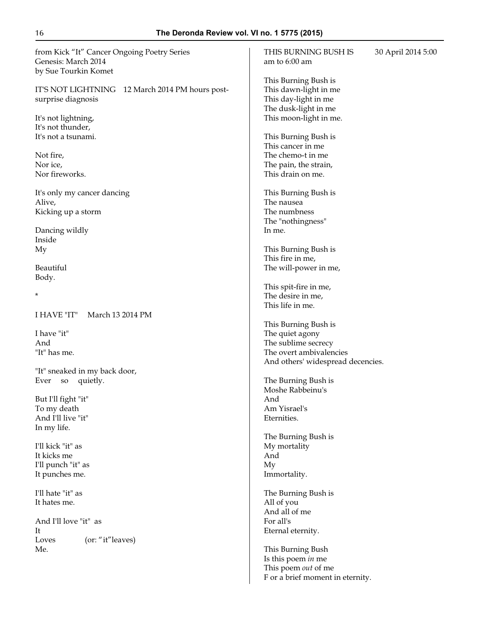from Kick "It" Cancer Ongoing Poetry Series Genesis: March 2014 by Sue Tourkin Komet

IT'S NOT LIGHTNING 12 March 2014 PM hours postsurprise diagnosis

It's not lightning, It's not thunder, It's not a tsunami.

Not fire, Nor ice, Nor fireworks.

It's only my cancer dancing Alive, Kicking up a storm

Dancing wildly Inside My

Beautiful Body.

\*

I HAVE "IT" March 13 2014 PM

I have "it" And "It" has me.

"It" sneaked in my back door, Ever so quietly.

But I'll fight "it" To my death And I'll live "it" In my life.

I'll kick "it" as It kicks me I'll punch "it" as It punches me.

I'll hate "it" as It hates me.

And I'll love "it" as It Loves (or: "it" leaves) Me.

THIS BURNING BUSH IS 30 April 2014 5:00 am to 6:00 am This Burning Bush is This dawn-light in me This day-light in me The dusk-light in me This moon-light in me. This Burning Bush is This cancer in me The chemo-t in me The pain, the strain, This drain on me. This Burning Bush is The nausea The numbness The "nothingness" In me. This Burning Bush is This fire in me, The will-power in me, This spit-fire in me, The desire in me, This life in me. This Burning Bush is The quiet agony The sublime secrecy The overt ambivalencies And others' widespread decencies. The Burning Bush is Moshe Rabbeinu's And Am Yisrael's Eternities. The Burning Bush is My mortality And My Immortality. The Burning Bush is All of you And all of me For all's Eternal eternity. This Burning Bush Is this poem *in* me This poem *out* of me

F or a brief moment in eternity.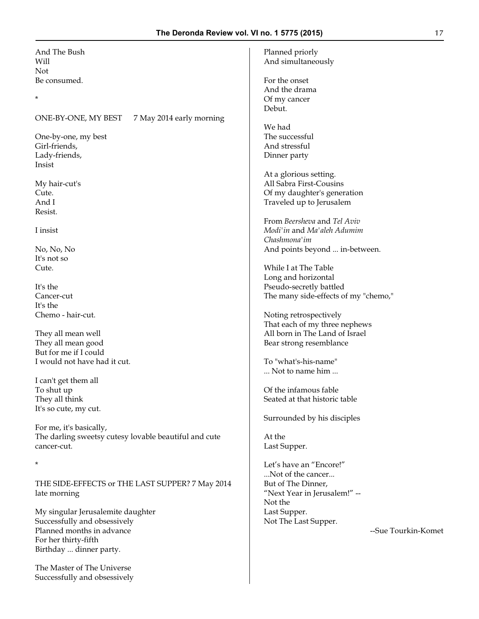| And The Bush<br>Will                                  | Planned priorly<br>And simultaneously |
|-------------------------------------------------------|---------------------------------------|
| Not                                                   |                                       |
| Be consumed.                                          | For the onset                         |
| $^\star$                                              | And the drama                         |
|                                                       | Of my cancer<br>Debut.                |
| ONE-BY-ONE, MY BEST<br>7 May 2014 early morning       |                                       |
|                                                       | We had                                |
| One-by-one, my best                                   | The successful                        |
| Girl-friends,                                         | And stressful                         |
| Lady-friends,<br>Insist                               | Dinner party                          |
|                                                       | At a glorious setting.                |
| My hair-cut's                                         | All Sabra First-Cousins               |
| Cute.                                                 | Of my daughter's generation           |
| And I                                                 | Traveled up to Jerusalem              |
| Resist.                                               |                                       |
|                                                       | From Beersheva and Tel Aviv           |
| I insist                                              | Modi'in and Ma'aleh Adumim            |
|                                                       | Chashmona'im                          |
| No, No, No                                            | And points beyond  in-between.        |
| It's not so                                           |                                       |
| Cute.                                                 | While I at The Table                  |
|                                                       | Long and horizontal                   |
| It's the                                              | Pseudo-secretly battled               |
| Cancer-cut                                            | The many side-effects of my "chemo,"  |
| It's the                                              |                                       |
| Chemo - hair-cut.                                     | Noting retrospectively                |
|                                                       | That each of my three nephews         |
| They all mean well                                    | All born in The Land of Israel        |
| They all mean good                                    | Bear strong resemblance               |
| But for me if I could                                 |                                       |
| I would not have had it cut.                          | To "what's-his-name"                  |
|                                                       | Not to name him                       |
| I can't get them all                                  |                                       |
| To shut up                                            | Of the infamous fable                 |
| They all think                                        | Seated at that historic table         |
| It's so cute, my cut.                                 |                                       |
|                                                       | Surrounded by his disciples           |
| For me, it's basically,                               |                                       |
| The darling sweetsy cutesy lovable beautiful and cute | At the                                |
| cancer-cut.                                           | Last Supper.                          |
|                                                       |                                       |
| $^\star$                                              | Let's have an "Encore!"               |
|                                                       | Not of the cancer                     |
| THE SIDE-EFFECTS or THE LAST SUPPER? 7 May 2014       | But of The Dinner,                    |
| late morning                                          | "Next Year in Jerusalem!" --          |
|                                                       | Not the                               |
| My singular Jerusalemite daughter                     | Last Supper.                          |
| Successfully and obsessively                          | Not The Last Supper.                  |
| Planned months in advance                             | --Sue Tourkin-Komet                   |
| For her thirty-fifth                                  |                                       |
| Birthday  dinner party.                               |                                       |
|                                                       |                                       |
| The Master of The Universe                            |                                       |

Successfully and obsessively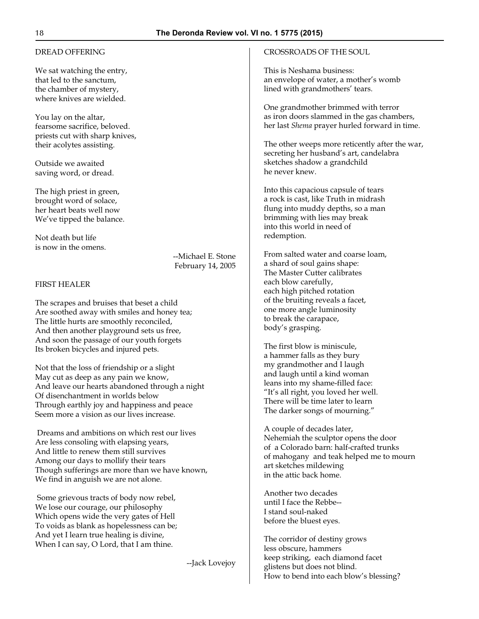# DREAD OFFERING

We sat watching the entry, that led to the sanctum, the chamber of mystery, where knives are wielded.

You lay on the altar, fearsome sacrifice, beloved. priests cut with sharp knives, their acolytes assisting.

Outside we awaited saving word, or dread.

The high priest in green, brought word of solace, her heart beats well now We've tipped the balance.

Not death but life is now in the omens.

--Michael E. Stone February 14, 2005

#### FIRST HEALER

The scrapes and bruises that beset a child Are soothed away with smiles and honey tea; The little hurts are smoothly reconciled, And then another playground sets us free, And soon the passage of our youth forgets Its broken bicycles and injured pets.

Not that the loss of friendship or a slight May cut as deep as any pain we know, And leave our hearts abandoned through a night Of disenchantment in worlds below Through earthly joy and happiness and peace Seem more a vision as our lives increase.

 Dreams and ambitions on which rest our lives Are less consoling with elapsing years, And little to renew them still survives Among our days to mollify their tears Though sufferings are more than we have known, We find in anguish we are not alone.

 Some grievous tracts of body now rebel, We lose our courage, our philosophy Which opens wide the very gates of Hell To voids as blank as hopelessness can be; And yet I learn true healing is divine, When I can say, O Lord, that I am thine.

--Jack Lovejoy

# CROSSROADS OF THE SOUL

This is Neshama business: an envelope of water, a mother's womb lined with grandmothers' tears.

One grandmother brimmed with terror as iron doors slammed in the gas chambers, her last *Shema* prayer hurled forward in time.

The other weeps more reticently after the war, secreting her husband's art, candelabra sketches shadow a grandchild he never knew.

Into this capacious capsule of tears a rock is cast, like Truth in midrash flung into muddy depths, so a man brimming with lies may break into this world in need of redemption.

From salted water and coarse loam, a shard of soul gains shape: The Master Cutter calibrates each blow carefully, each high pitched rotation of the bruiting reveals a facet, one more angle luminosity to break the carapace, body's grasping.

The first blow is miniscule, a hammer falls as they bury my grandmother and I laugh and laugh until a kind woman leans into my shame-filled face: "It's all right, you loved her well. There will be time later to learn The darker songs of mourning."

A couple of decades later, Nehemiah the sculptor opens the door of a Colorado barn: half-crafted trunks of mahogany and teak helped me to mourn art sketches mildewing in the attic back home.

Another two decades until I face the Rebbe-- I stand soul-naked before the bluest eyes.

The corridor of destiny grows less obscure, hammers keep striking, each diamond facet glistens but does not blind. How to bend into each blow's blessing?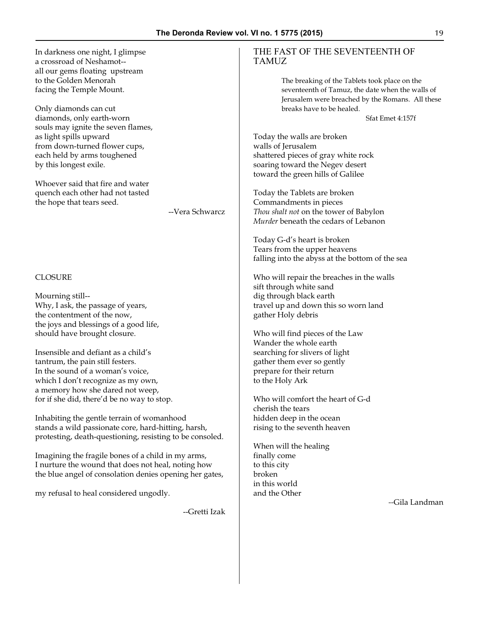In darkness one night, I glimpse a crossroad of Neshamot- all our gems floating upstream to the Golden Menorah facing the Temple Mount.

Only diamonds can cut diamonds, only earth-worn souls may ignite the seven flames, as light spills upward from down-turned flower cups, each held by arms toughened by this longest exile.

Whoever said that fire and water quench each other had not tasted the hope that tears seed.

--Vera Schwarcz

#### CLOSURE

Mourning still-- Why, I ask, the passage of years, the contentment of the now, the joys and blessings of a good life, should have brought closure.

Insensible and defiant as a child's tantrum, the pain still festers. In the sound of a woman's voice, which I don't recognize as my own, a memory how she dared not weep, for if she did, there'd be no way to stop.

Inhabiting the gentle terrain of womanhood stands a wild passionate core, hard-hitting, harsh, protesting, death-questioning, resisting to be consoled.

Imagining the fragile bones of a child in my arms, I nurture the wound that does not heal, noting how the blue angel of consolation denies opening her gates,

my refusal to heal considered ungodly.

--Gretti Izak

#### THE FAST OF THE SEVENTEENTH OF TAMUZ

The breaking of the Tablets took place on the seventeenth of Tamuz, the date when the walls of Jerusalem were breached by the Romans. All these breaks have to be healed.

Sfat Emet 4:157f

Today the walls are broken walls of Jerusalem shattered pieces of gray white rock soaring toward the Negev desert toward the green hills of Galilee

Today the Tablets are broken Commandments in pieces *Thou shalt not* on the tower of Babylon *Murder* beneath the cedars of Lebanon

Today G-d's heart is broken Tears from the upper heavens falling into the abyss at the bottom of the sea

Who will repair the breaches in the walls sift through white sand dig through black earth travel up and down this so worn land gather Holy debris

Who will find pieces of the Law Wander the whole earth searching for slivers of light gather them ever so gently prepare for their return to the Holy Ark

Who will comfort the heart of G-d cherish the tears hidden deep in the ocean rising to the seventh heaven

When will the healing finally come to this city broken in this world and the Other

*--*Gila Landman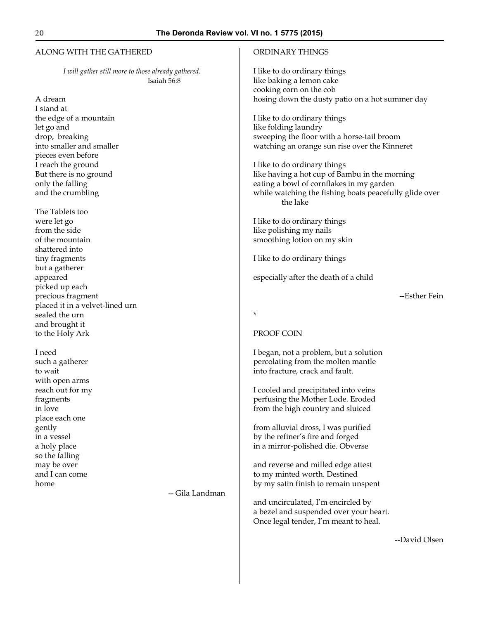#### ALONG WITH THE GATHERED

*I will gather still more to those already gathered.* Isaiah 56:8

A dream I stand at the edge of a mountain let go and drop, breaking into smaller and smaller pieces even before I reach the ground But there is no ground only the falling and the crumbling

The Tablets too were let go from the side of the mountain shattered into tiny fragments but a gatherer appeared picked up each precious fragment placed it in a velvet-lined urn sealed the urn and brought it to the Holy Ark

I need such a gatherer to wait with open arms reach out for my fragments in love place each one gently in a vessel a holy place so the falling may be over and I can come home

-- Gila Landman

#### ORDINARY THINGS

I like to do ordinary things like baking a lemon cake cooking corn on the cob hosing down the dusty patio on a hot summer day

I like to do ordinary things like folding laundry sweeping the floor with a horse-tail broom watching an orange sun rise over the Kinneret

I like to do ordinary things like having a hot cup of Bambu in the morning eating a bowl of cornflakes in my garden while watching the fishing boats peacefully glide over the lake

I like to do ordinary things like polishing my nails smoothing lotion on my skin

I like to do ordinary things

especially after the death of a child

--Esther Fein

\*

#### PROOF COIN

I began, not a problem, but a solution percolating from the molten mantle into fracture, crack and fault.

I cooled and precipitated into veins perfusing the Mother Lode. Eroded from the high country and sluiced

from alluvial dross, I was purified by the refiner's fire and forged in a mirror-polished die. Obverse

and reverse and milled edge attest to my minted worth. Destined by my satin finish to remain unspent

and uncirculated, I'm encircled by a bezel and suspended over your heart. Once legal tender, I'm meant to heal.

--David Olsen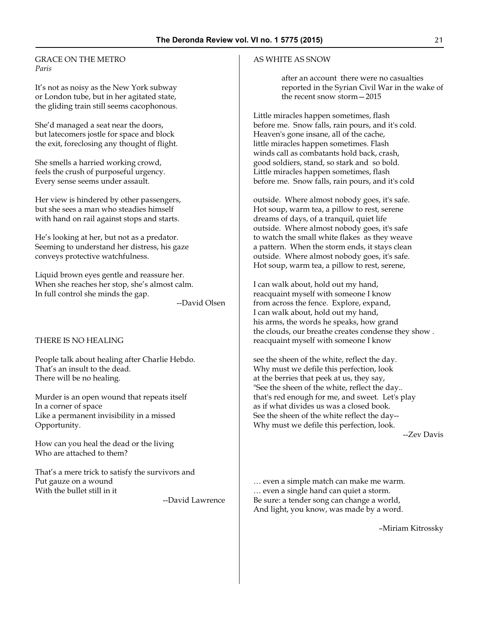#### GRACE ON THE METRO *Paris*

It's not as noisy as the New York subway or London tube, but in her agitated state, the gliding train still seems cacophonous.

She'd managed a seat near the doors, but latecomers jostle for space and block the exit, foreclosing any thought of flight.

She smells a harried working crowd, feels the crush of purposeful urgency. Every sense seems under assault.

Her view is hindered by other passengers, but she sees a man who steadies himself with hand on rail against stops and starts.

He's looking at her, but not as a predator. Seeming to understand her distress, his gaze conveys protective watchfulness.

Liquid brown eyes gentle and reassure her. When she reaches her stop, she's almost calm. In full control she minds the gap.

--David Olsen

#### THERE IS NO HEALING

People talk about healing after Charlie Hebdo. That's an insult to the dead. There will be no healing.

Murder is an open wound that repeats itself In a corner of space Like a permanent invisibility in a missed Opportunity.

How can you heal the dead or the living Who are attached to them?

That's a mere trick to satisfy the survivors and Put gauze on a wound With the bullet still in it

--David Lawrence

#### AS WHITE AS SNOW

after an account there were no casualties reported in the Syrian Civil War in the wake of the recent snow storm—2015

Little miracles happen sometimes, flash before me. Snow falls, rain pours, and it's cold. Heaven's gone insane, all of the cache, little miracles happen sometimes. Flash winds call as combatants hold back, crash, good soldiers, stand, so stark and so bold. Little miracles happen sometimes, flash before me. Snow falls, rain pours, and it's cold

outside. Where almost nobody goes, it's safe. Hot soup, warm tea, a pillow to rest, serene dreams of days, of a tranquil, quiet life outside. Where almost nobody goes, it's safe to watch the small white flakes as they weave a pattern. When the storm ends, it stays clean outside. Where almost nobody goes, it's safe. Hot soup, warm tea, a pillow to rest, serene,

I can walk about, hold out my hand, reacquaint myself with someone I know from across the fence. Explore, expand, I can walk about, hold out my hand, his arms, the words he speaks, how grand the clouds, our breathe creates condense they show . reacquaint myself with someone I know

see the sheen of the white, reflect the day. Why must we defile this perfection, look at the berries that peek at us, they say, "See the sheen of the white, reflect the day.. that's red enough for me, and sweet. Let's play as if what divides us was a closed book. See the sheen of the white reflect the day-- Why must we defile this perfection, look.

--Zev Davis

… even a simple match can make me warm. … even a single hand can quiet a storm. Be sure: a tender song can change a world, And light, you know, was made by a word.

–Miriam Kitrossky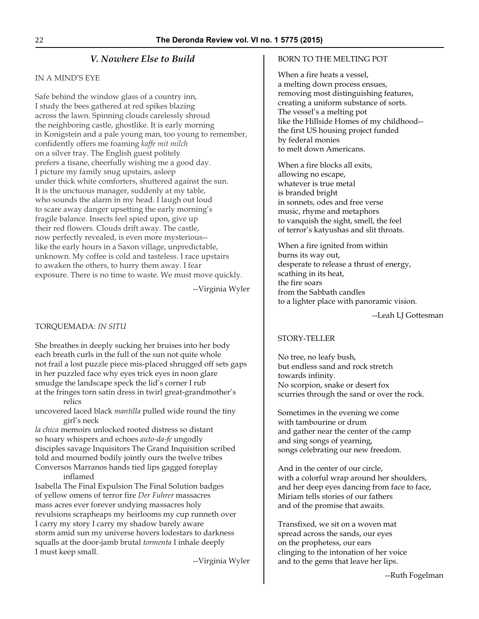# *V. Nowhere Else to Build*

# IN A MIND'S EYE

Safe behind the window glass of a country inn, I study the bees gathered at red spikes blazing across the lawn. Spinning clouds carelessly shroud the neighboring castle, ghostlike. It is early morning in Konigstein and a pale young man, too young to remember, confidently offers me foaming *kaffe mit milch* on a silver tray. The English guest politely prefers a tisane, cheerfully wishing me a good day. I picture my family snug upstairs, asleep under thick white comforters, shuttered against the sun. It is the unctuous manager, suddenly at my table, who sounds the alarm in my head. I laugh out loud to scare away danger upsetting the early morning's fragile balance. Insects feel spied upon, give up their red flowers. Clouds drift away. The castle, now perfectly revealed, is even more mysterious- like the early hours in a Saxon village, unpredictable, unknown. My coffee is cold and tasteless. I race upstairs to awaken the others, to hurry them away. I fear exposure. There is no time to waste. We must move quickly.

--Virginia Wyler

# TORQUEMADA: *IN SITU*

She breathes in deeply sucking her bruises into her body each breath curls in the full of the sun not quite whole not frail a lost puzzle piece mis-placed shrugged off sets gaps in her puzzled face why eyes trick eyes in noon glare smudge the landscape speck the lid's corner I rub at the fringes torn satin dress in twirl great-grandmother's relics

uncovered laced black *mantilla* pulled wide round the tiny girl's neck

*la chica* memoirs unlocked rooted distress so distant so hoary whispers and echoes *auto-da-fe* ungodly disciples savage Inquisitors The Grand Inquisition scribed told and mourned bodily jointly ours the twelve tribes Conversos Marranos hands tied lips gagged foreplay inflamed

Isabella The Final Expulsion The Final Solution badges of yellow omens of terror fire *Der Fuhrer* massacres mass acres ever forever undying massacres holy revulsions scrapheaps my heirlooms my cup runneth over I carry my story I carry my shadow barely aware storm amid sun my universe hovers lodestars to darkness squalls at the door-jamb brutal *tormenta* I inhale deeply I must keep small.

--Virginia Wyler

# BORN TO THE MELTING POT

When a fire heats a vessel, a melting down process ensues, removing most distinguishing features, creating a uniform substance of sorts. The vessel's a melting pot like the Hillside Homes of my childhood- the first US housing project funded by federal monies to melt down Americans.

When a fire blocks all exits, allowing no escape, whatever is true metal is branded bright in sonnets, odes and free verse music, rhyme and metaphors to vanquish the sight, smell, the feel of terror's katyushas and slit throats.

When a fire ignited from within burns its way out, desperate to release a thrust of energy, scathing in its heat, the fire soars from the Sabbath candles to a lighter place with panoramic vision.

--Leah LJ Gottesman

# STORY-TELLER

No tree, no leafy bush, but endless sand and rock stretch towards infinity. No scorpion, snake or desert fox scurries through the sand or over the rock.

Sometimes in the evening we come with tambourine or drum and gather near the center of the camp and sing songs of yearning, songs celebrating our new freedom.

And in the center of our circle, with a colorful wrap around her shoulders, and her deep eyes dancing from face to face, Miriam tells stories of our fathers and of the promise that awaits.

Transfixed, we sit on a woven mat spread across the sands, our eyes on the prophetess, our ears clinging to the intonation of her voice and to the gems that leave her lips.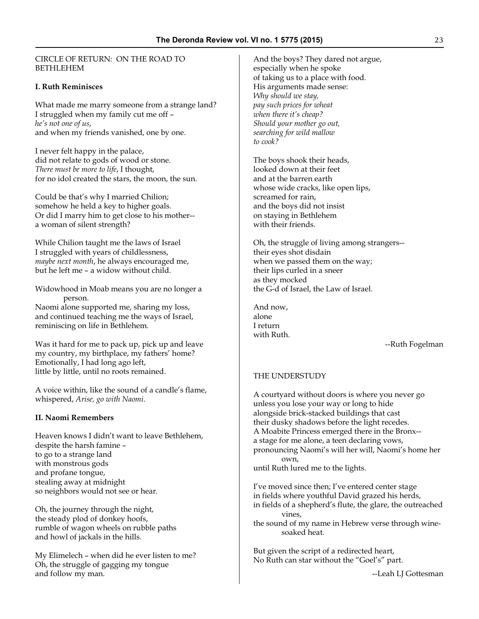CIRCLE OF RETURN: ON THE ROAD TO BETHLEHEM

#### **I. Ruth Reminisces**

What made me marry someone from a strange land? I struggled when my family cut me off – *he's not one of us*, and when my friends vanished, one by one.

I never felt happy in the palace, did not relate to gods of wood or stone. *There must be more to life*, I thought, for no idol created the stars, the moon, the sun.

Could be that's why I married Chilion; somehow he held a key to higher goals. Or did I marry him to get close to his mother- a woman of silent strength?

While Chilion taught me the laws of Israel I struggled with years of childlessness, *maybe next month*, he always encouraged me, but he left me – a widow without child.

Widowhood in Moab means you are no longer a person. Naomi alone supported me, sharing my loss, and continued teaching me the ways of Israel, reminiscing on life in Bethlehem.

Was it hard for me to pack up, pick up and leave my country, my birthplace, my fathers' home? Emotionally, I had long ago left, little by little, until no roots remained.

A voice within, like the sound of a candle's flame, whispered, *Arise, go with Naomi*.

#### **II. Naomi Remembers**

Heaven knows I didn't want to leave Bethlehem, despite the harsh famine – to go to a strange land with monstrous gods and profane tongue, stealing away at midnight so neighbors would not see or hear.

Oh, the journey through the night, the steady plod of donkey hoofs, rumble of wagon wheels on rubble paths and howl of jackals in the hills.

My Elimelech – when did he ever listen to me? Oh, the struggle of gagging my tongue and follow my man.

And the boys? They dared not argue, especially when he spoke of taking us to a place with food. His arguments made sense: *Why should we stay, pay such prices for wheat when there it's cheap? Should your mother go out, searching for wild mallow to cook?*

The boys shook their heads, looked down at their feet and at the barren earth whose wide cracks, like open lips, screamed for rain, and the boys did not insist on staying in Bethlehem with their friends.

Oh, the struggle of living among strangers- their eyes shot disdain when we passed them on the way; their lips curled in a sneer as they mocked the G-d of Israel, the Law of Israel.

And now, alone I return with Ruth.

--Ruth Fogelman

#### THE UNDERSTUDY

A courtyard without doors is where you never go unless you lose your way or long to hide alongside brick-stacked buildings that cast their dusky shadows before the light recedes. A Moabite Princess emerged there in the Bronx- a stage for me alone, a teen declaring vows, pronouncing Naomi's will her will, Naomi's home her own, until Ruth lured me to the lights.

I've moved since then; I've entered center stage in fields where youthful David grazed his herds, in fields of a shepherd's flute, the glare, the outreached vines, the sound of my name in Hebrew verse through winesoaked heat.

But given the script of a redirected heart, No Ruth can star without the "Goel's" part.

--Leah LJ Gottesman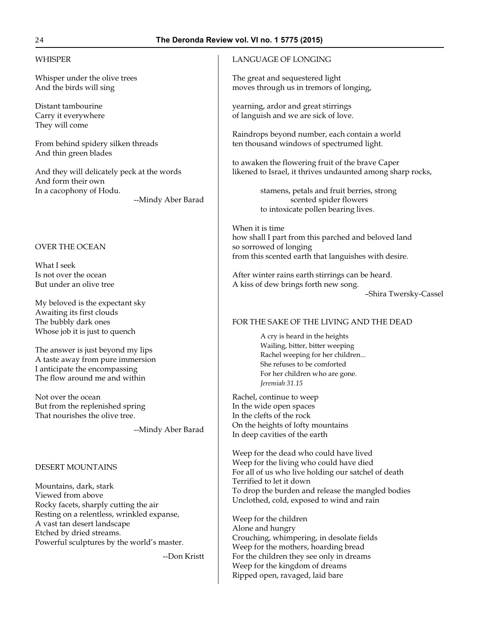### WHISPER

Whisper under the olive trees And the birds will sing

Distant tambourine Carry it everywhere They will come

From behind spidery silken threads And thin green blades

And they will delicately peck at the words And form their own In a cacophony of Hodu.

--Mindy Aber Barad

# OVER THE OCEAN

What I seek Is not over the ocean But under an olive tree

My beloved is the expectant sky Awaiting its first clouds The bubbly dark ones Whose job it is just to quench

The answer is just beyond my lips A taste away from pure immersion I anticipate the encompassing The flow around me and within

Not over the ocean But from the replenished spring That nourishes the olive tree.

--Mindy Aber Barad

# DESERT MOUNTAINS

Mountains, dark, stark Viewed from above Rocky facets, sharply cutting the air Resting on a relentless, wrinkled expanse, A vast tan desert landscape Etched by dried streams. Powerful sculptures by the world's master.

--Don Kristt

# LANGUAGE OF LONGING

The great and sequestered light moves through us in tremors of longing,

yearning, ardor and great stirrings of languish and we are sick of love.

Raindrops beyond number, each contain a world ten thousand windows of spectrumed light.

to awaken the flowering fruit of the brave Caper likened to Israel, it thrives undaunted among sharp rocks,

> stamens, petals and fruit berries, strong scented spider flowers to intoxicate pollen bearing lives.

When it is time how shall I part from this parched and beloved land so sorrowed of longing from this scented earth that languishes with desire.

After winter rains earth stirrings can be heard. A kiss of dew brings forth new song.

–Shira Twersky-Cassel

#### FOR THE SAKE OF THE LIVING AND THE DEAD

A cry is heard in the heights Wailing, bitter, bitter weeping Rachel weeping for her children... She refuses to be comforted For her children who are gone. *Jeremiah 31.15*

Rachel, continue to weep In the wide open spaces In the clefts of the rock On the heights of lofty mountains In deep cavities of the earth

Weep for the dead who could have lived Weep for the living who could have died For all of us who live holding our satchel of death Terrified to let it down To drop the burden and release the mangled bodies Unclothed, cold, exposed to wind and rain

Weep for the children Alone and hungry Crouching, whimpering, in desolate fields Weep for the mothers, hoarding bread For the children they see only in dreams Weep for the kingdom of dreams Ripped open, ravaged, laid bare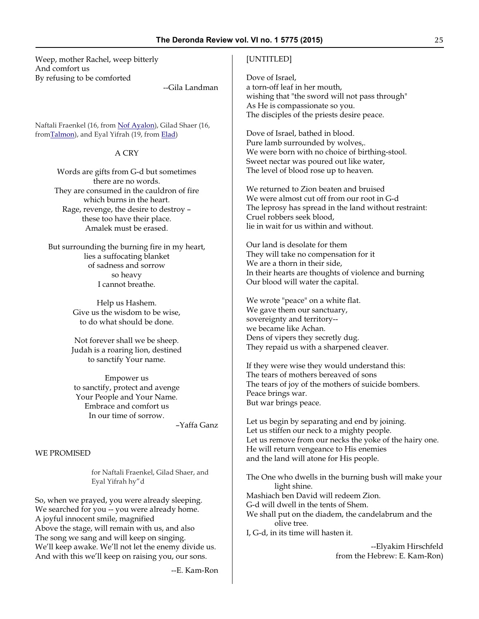Weep, mother Rachel, weep bitterly And comfort us By refusing to be comforted

--Gila Landman

Naftali Fraenkel (16, from [Nof Ayalon](http://en.wikipedia.org/wiki/Nof_Ayalon)), Gilad Shaer (16, from**Talmon**), and Eyal Yifrah (19, from **Elad**)

# A CRY

Words are gifts from G-d but sometimes there are no words. They are consumed in the cauldron of fire which burns in the heart. Rage, revenge, the desire to destroy – these too have their place. Amalek must be erased.

But surrounding the burning fire in my heart, lies a suffocating blanket of sadness and sorrow so heavy I cannot breathe.

> Help us Hashem. Give us the wisdom to be wise, to do what should be done.

Not forever shall we be sheep. Judah is a roaring lion, destined to sanctify Your name.

Empower us to sanctify, protect and avenge Your People and Your Name. Embrace and comfort us In our time of sorrow.

–Yaffa Ganz

#### WE PROMISED

for Naftali Fraenkel, Gilad Shaer, and Eyal Yifrah hy"d

So, when we prayed, you were already sleeping. We searched for you -- you were already home. A joyful innocent smile, magnified Above the stage, will remain with us, and also The song we sang and will keep on singing. We'll keep awake. We'll not let the enemy divide us. And with this we'll keep on raising you, our sons.

--E. Kam-Ron

#### [UNTITLED]

Dove of Israel, a torn-off leaf in her mouth, wishing that "the sword will not pass through" As He is compassionate so you. The disciples of the priests desire peace.

Dove of Israel, bathed in blood. Pure lamb surrounded by wolves,. We were born with no choice of birthing-stool. Sweet nectar was poured out like water, The level of blood rose up to heaven.

We returned to Zion beaten and bruised We were almost cut off from our root in G-d The leprosy has spread in the land without restraint: Cruel robbers seek blood, lie in wait for us within and without.

Our land is desolate for them They will take no compensation for it We are a thorn in their side, In their hearts are thoughts of violence and burning Our blood will water the capital.

We wrote "peace" on a white flat. We gave them our sanctuary, sovereignty and territory- we became like Achan. Dens of vipers they secretly dug. They repaid us with a sharpened cleaver.

If they were wise they would understand this: The tears of mothers bereaved of sons The tears of joy of the mothers of suicide bombers. Peace brings war. But war brings peace.

Let us begin by separating and end by joining. Let us stiffen our neck to a mighty people. Let us remove from our necks the yoke of the hairy one. He will return vengeance to His enemies and the land will atone for His people.

The One who dwells in the burning bush will make your light shine. Mashiach ben David will redeem Zion. G-d will dwell in the tents of Shem. We shall put on the diadem, the candelabrum and the olive tree. I, G-d, in its time will hasten it.

> --Elyakim Hirschfeld from the Hebrew: E. Kam-Ron)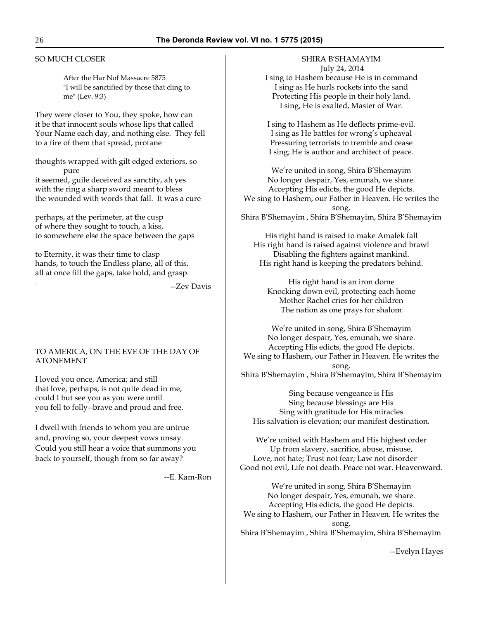#### SO MUCH CLOSER

After the Har Nof Massacre 5875 "I will be sanctified by those that cling to me" (Lev. 9:3)

They were closer to You, they spoke, how can it be that innocent souls whose lips that called Your Name each day, and nothing else. They fell to a fire of them that spread, profane

thoughts wrapped with gilt edged exteriors, so pure it seemed, guile deceived as sanctity, ah yes with the ring a sharp sword meant to bless the wounded with words that fall. It was a cure

perhaps, at the perimeter, at the cusp of where they sought to touch, a kiss, to somewhere else the space between the gaps

to Eternity, it was their time to clasp hands, to touch the Endless plane, all of this, all at once fill the gaps, take hold, and grasp.

--Zev Davis

#### TO AMERICA, ON THE EVE OF THE DAY OF ATONEMENT

I loved you once, America; and still that love, perhaps, is not quite dead in me, could I but see you as you were until you fell to folly--brave and proud and free.

I dwell with friends to whom you are untrue and, proving so, your deepest vows unsay. Could you still hear a voice that summons you back to yourself, though from so far away?

--E. Kam-Ron

SHIRA B'SHAMAYIM July 24, 2014 I sing to Hashem because He is in command I sing as He hurls rockets into the sand Protecting His people in their holy land.

I sing to Hashem as He deflects prime-evil. I sing as He battles for wrong's upheaval Pressuring terrorists to tremble and cease I sing; He is author and architect of peace.

I sing, He is exalted, Master of War.

We're united in song, Shira B'Shemayim No longer despair, Yes, emunah, we share. Accepting His edicts, the good He depicts. We sing to Hashem, our Father in Heaven. He writes the song. Shira B'Shemayim , Shira B'Shemayim, Shira B'Shemayim

His right hand is raised to make Amalek fall His right hand is raised against violence and brawl Disabling the fighters against mankind. His right hand is keeping the predators behind.

His right hand is an iron dome Knocking down evil, protecting each home Mother Rachel cries for her children The nation as one prays for shalom

We're united in song, Shira B'Shemayim No longer despair, Yes, emunah, we share. Accepting His edicts, the good He depicts. We sing to Hashem, our Father in Heaven. He writes the song. Shira B'Shemayim , Shira B'Shemayim, Shira B'Shemayim

Sing because vengeance is His Sing because blessings are His Sing with gratitude for His miracles His salvation is elevation; our manifest destination.

We're united with Hashem and His highest order Up from slavery, sacrifice, abuse, misuse, Love, not hate; Trust not fear; Law not disorder Good not evil, Life not death. Peace not war. Heavenward.

We're united in song, Shira B'Shemayim No longer despair, Yes, emunah, we share. Accepting His edicts, the good He depicts. We sing to Hashem, our Father in Heaven. He writes the song. Shira B'Shemayim , Shira B'Shemayim, Shira B'Shemayim

--Evelyn Hayes

.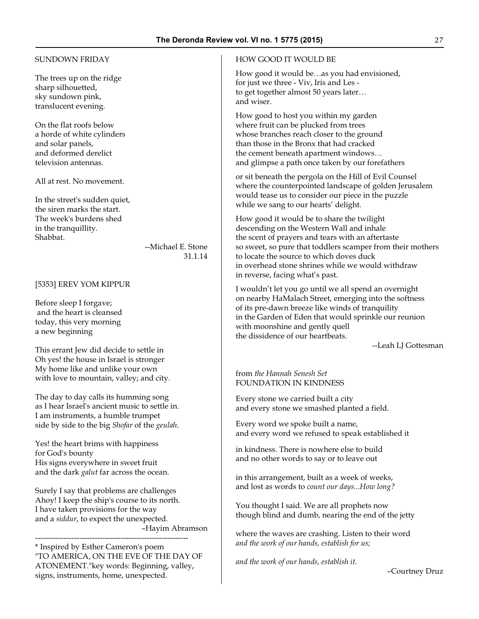#### SUNDOWN FRIDAY

The trees up on the ridge sharp silhouetted, sky sundown pink, translucent evening.

On the flat roofs below a horde of white cylinders and solar panels, and deformed derelict television antennas.

All at rest. No movement.

In the street's sudden quiet, the siren marks the start. The week's burdens shed in the tranquillity. Shabbat.

--Michael E. Stone 31.1.14

#### [5353] EREV YOM KIPPUR

Before sleep I forgave; and the heart is cleansed today, this very morning a new beginning

This errant Jew did decide to settle in Oh yes! the house in Israel is stronger My home like and unlike your own with love to mountain, valley; and city.

The day to day calls its humming song as I hear Israel's ancient music to settle in. I am instruments, a humble trumpet side by side to the big *Shofar* of the *geulah*.

Yes! the heart brims with happiness for God's bounty His signs everywhere in sweet fruit and the dark *galut* far across the ocean.

Surely I say that problems are challenges Ahoy! I keep the ship's course to its north. I have taken provisions for the way and a *siddur*, to expect the unexpected. –Hayim Abramson

----------------------------------------------------------- \* Inspired by Esther Cameron's poem "TO AMERICA, ON THE EVE OF THE DAY OF ATONEMENT."key words: Beginning, valley, signs, instruments, home, unexpected.

#### HOW GOOD IT WOULD BE

How good it would be…as you had envisioned, for just we three - Viv, Iris and Les to get together almost 50 years later… and wiser.

How good to host you within my garden where fruit can be plucked from trees whose branches reach closer to the ground than those in the Bronx that had cracked the cement beneath apartment windows… and glimpse a path once taken by our forefathers

or sit beneath the pergola on the Hill of Evil Counsel where the counterpointed landscape of golden Jerusalem would tease us to consider our piece in the puzzle while we sang to our hearts' delight.

How good it would be to share the twilight descending on the Western Wall and inhale the scent of prayers and tears with an aftertaste so sweet, so pure that toddlers scamper from their mothers to locate the source to which doves duck in overhead stone shrines while we would withdraw in reverse, facing what's past.

I wouldn't let you go until we all spend an overnight on nearby HaMalach Street, emerging into the softness of its pre-dawn breeze like winds of tranquility in the Garden of Eden that would sprinkle our reunion with moonshine and gently quell the dissidence of our heartbeats.

--Leah LJ Gottesman

from *the Hannah Senesh Set* FOUNDATION IN KINDNESS

Every stone we carried built a city and every stone we smashed planted a field.

Every word we spoke built a name, and every word we refused to speak established it

in kindness. There is nowhere else to build and no other words to say or to leave out

in this arrangement, built as a week of weeks, and lost as words to *count our days...How long?*

You thought I said. We are all prophets now though blind and dumb, nearing the end of the jetty

where the waves are crashing. Listen to their word *and the work of our hands, establish for us;*

*and the work of our hands, establish it.*

–Courtney Druz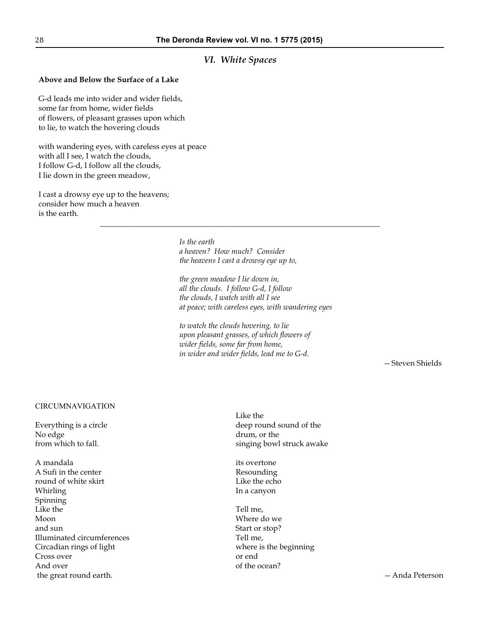# *VI. White Spaces*

#### **Above and Below the Surface of a Lake**

G-d leads me into wider and wider fields, some far from home, wider fields of flowers, of pleasant grasses upon which to lie, to watch the hovering clouds

with wandering eyes, with careless eyes at peace with all I see, I watch the clouds, I follow G-d, I follow all the clouds, I lie down in the green meadow,

I cast a drowsy eye up to the heavens; consider how much a heaven is the earth.

> *Is the earth a heaven? How much? Consider the heavens I cast a drowsy eye up to,*

\_\_\_\_\_\_\_\_\_\_\_\_\_\_\_\_\_\_\_\_\_\_\_\_\_\_\_\_\_\_\_\_\_\_\_\_\_\_\_\_\_\_\_\_\_\_\_\_\_\_\_\_\_\_\_\_\_\_\_\_\_\_\_\_\_\_\_\_\_\_\_

*the green meadow I lie down in, all the clouds. I follow G-d, I follow the clouds, I watch with all I see at peace; with careless eyes, with wandering eyes*

*to watch the clouds hovering, to lie upon pleasant grasses, of which flowers of wider fields, some far from home, in wider and wider fields, lead me to G-d.*

-- Steven Shields

#### CIRCUMNAVIGATION

Everything is a circle No edge from which to fall.

A mandala A Sufi in the center round of white skirt Whirling Spinning Like the Moon and sun Illuminated circumferences Circadian rings of light Cross over And over the great round earth.

Like the deep round sound of the drum, or the singing bowl struck awake

its overtone Resounding Like the echo In a canyon

Tell me, Where do we Start or stop? Tell me, where is the beginning or end of the ocean?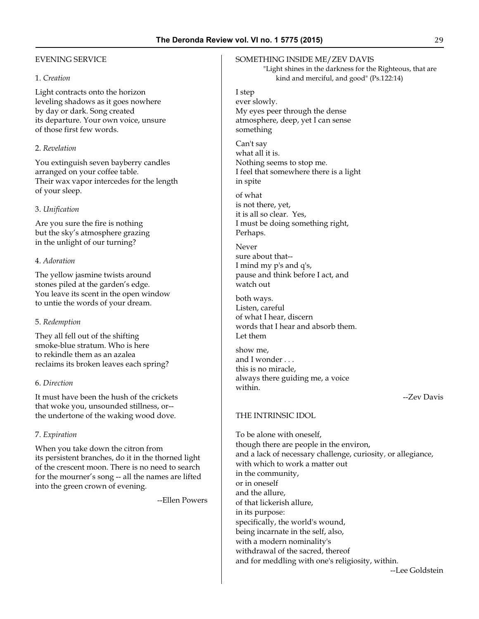### EVENING SERVICE

#### 1. *Creation*

Light contracts onto the horizon leveling shadows as it goes nowhere by day or dark. Song created its departure. Your own voice, unsure of those first few words.

#### 2. *Revelation*

You extinguish seven bayberry candles arranged on your coffee table. Their wax vapor intercedes for the length of your sleep.

#### 3. *Unification*

Are you sure the fire is nothing but the sky's atmosphere grazing in the unlight of our turning?

#### 4. *Adoration*

The yellow jasmine twists around stones piled at the garden's edge. You leave its scent in the open window to untie the words of your dream.

#### 5. *Redemption*

They all fell out of the shifting smoke-blue stratum. Who is here to rekindle them as an azalea reclaims its broken leaves each spring?

#### 6. *Direction*

It must have been the hush of the crickets that woke you, unsounded stillness, or- the undertone of the waking wood dove.

#### 7. *Expiration*

When you take down the citron from its persistent branches, do it in the thorned light of the crescent moon. There is no need to search for the mourner's song -- all the names are lifted into the green crown of evening.

--Ellen Powers

#### SOMETHING INSIDE ME/ZEV DAVIS

 "Light shines in the darkness for the Righteous, that are kind and merciful, and good" (Ps.122:14)

I step ever slowly. My eyes peer through the dense atmosphere, deep, yet I can sense something

Can't say what all it is. Nothing seems to stop me. I feel that somewhere there is a light in spite

of what is not there, yet, it is all so clear. Yes, I must be doing something right, Perhaps.

Never sure about that-- I mind my p's and q's, pause and think before I act, and watch out

both ways. Listen, careful of what I hear, discern words that I hear and absorb them. Let them

show me, and I wonder . . . this is no miracle, always there guiding me, a voice within.

#### --Zev Davis

### THE INTRINSIC IDOL

To be alone with oneself, though there are people in the environ, and a lack of necessary challenge, curiosity, or allegiance, with which to work a matter out in the community, or in oneself and the allure, of that lickerish allure, in its purpose: specifically, the world's wound, being incarnate in the self, also, with a modern nominality's withdrawal of the sacred, thereof and for meddling with one's religiosity, within.

--Lee Goldstein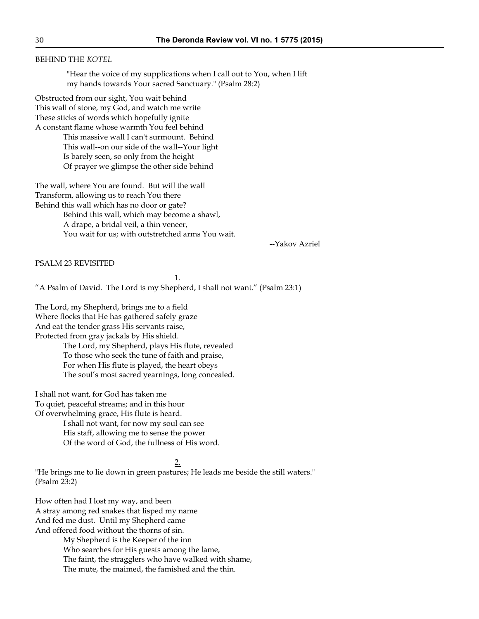#### BEHIND THE *KOTEL*

"Hear the voice of my supplications when I call out to You, when I lift my hands towards Your sacred Sanctuary." (Psalm 28:2)

Obstructed from our sight, You wait behind This wall of stone, my God, and watch me write These sticks of words which hopefully ignite A constant flame whose warmth You feel behind

> This massive wall I can't surmount. Behind This wall--on our side of the wall--Your light Is barely seen, so only from the height Of prayer we glimpse the other side behind

The wall, where You are found. But will the wall Transform, allowing us to reach You there Behind this wall which has no door or gate? Behind this wall, which may become a shawl,

A drape, a bridal veil, a thin veneer, You wait for us; with outstretched arms You wait.

--Yakov Azriel

PSALM 23 REVISITED

1. "A Psalm of David. The Lord is my Shepherd, I shall not want." (Psalm 23:1)

The Lord, my Shepherd, brings me to a field Where flocks that He has gathered safely graze And eat the tender grass His servants raise, Protected from gray jackals by His shield.

> The Lord, my Shepherd, plays His flute, revealed To those who seek the tune of faith and praise, For when His flute is played, the heart obeys The soul's most sacred yearnings, long concealed.

I shall not want, for God has taken me To quiet, peaceful streams; and in this hour Of overwhelming grace, His flute is heard.

> I shall not want, for now my soul can see His staff, allowing me to sense the power Of the word of God, the fullness of His word.

#### 2.

"He brings me to lie down in green pastures; He leads me beside the still waters." (Psalm 23:2)

How often had I lost my way, and been A stray among red snakes that lisped my name And fed me dust. Until my Shepherd came And offered food without the thorns of sin.

> My Shepherd is the Keeper of the inn Who searches for His guests among the lame, The faint, the stragglers who have walked with shame, The mute, the maimed, the famished and the thin.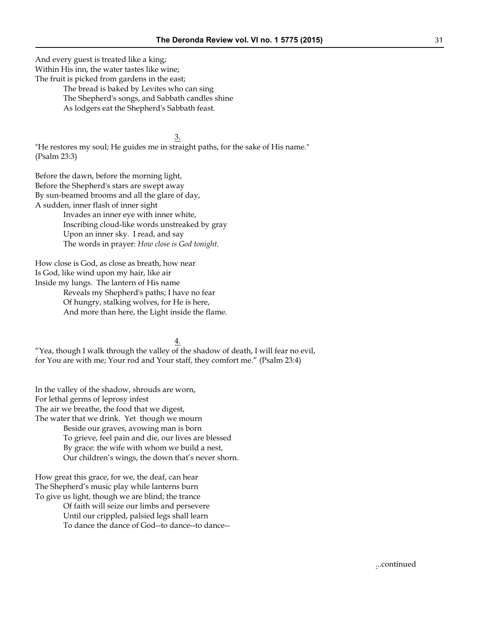And every guest is treated like a king; Within His inn, the water tastes like wine; The fruit is picked from gardens in the east;

> The bread is baked by Levites who can sing The Shepherd's songs, and Sabbath candles shine As lodgers eat the Shepherd's Sabbath feast.

3. "He restores my soul; He guides me in straight paths, for the sake of His name." (Psalm 23:3)

Before the dawn, before the morning light, Before the Shepherd's stars are swept away By sun-beamed brooms and all the glare of day, A sudden, inner flash of inner sight Invades an inner eye with inner white,

Inscribing cloud-like words unstreaked by gray Upon an inner sky. I read, and say The words in prayer: *How close is God tonight*.

How close is God, as close as breath, how near Is God, like wind upon my hair, like air Inside my lungs. The lantern of His name

Reveals my Shepherd's paths; I have no fear Of hungry, stalking wolves, for He is here, And more than here, the Light inside the flame.

4. "Yea, though I walk through the valley of the shadow of death, I will fear no evil, for You are with me; Your rod and Your staff, they comfort me." (Psalm 23:4)

In the valley of the shadow, shrouds are worn, For lethal germs of leprosy infest The air we breathe, the food that we digest, The water that we drink. Yet though we mourn Beside our graves, avowing man is born To grieve, feel pain and die, our lives are blessed By grace: the wife with whom we build a nest, Our children's wings, the down that's never shorn.

How great this grace, for we, the deaf, can hear The Shepherd's music play while lanterns burn To give us light, though we are blind; the trance

Of faith will seize our limbs and persevere Until our crippled, palsied legs shall learn To dance the dance of God--to dance--to dance--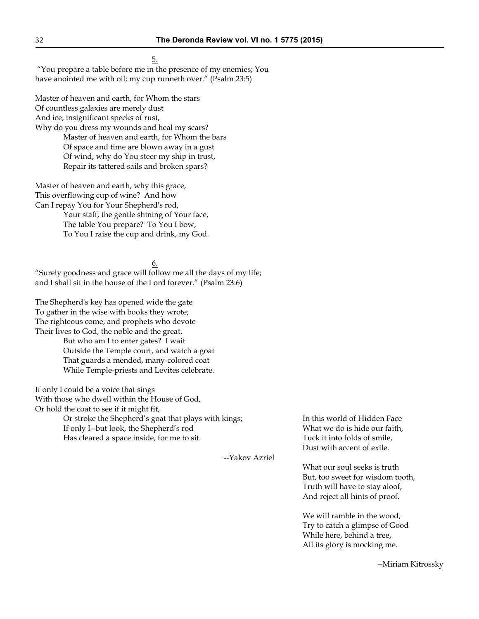--Yakov Azriel

5.

 "You prepare a table before me in the presence of my enemies; You have anointed me with oil; my cup runneth over." (Psalm 23:5)

Master of heaven and earth, for Whom the stars Of countless galaxies are merely dust And ice, insignificant specks of rust, Why do you dress my wounds and heal my scars? Master of heaven and earth, for Whom the bars Of space and time are blown away in a gust Of wind, why do You steer my ship in trust, Repair its tattered sails and broken spars?

Master of heaven and earth, why this grace, This overflowing cup of wine? And how Can I repay You for Your Shepherd's rod, Your staff, the gentle shining of Your face,

The table You prepare? To You I bow, To You I raise the cup and drink, my God.

6.

"Surely goodness and grace will follow me all the days of my life; and I shall sit in the house of the Lord forever." (Psalm 23:6)

The Shepherd's key has opened wide the gate To gather in the wise with books they wrote; The righteous come, and prophets who devote Their lives to God, the noble and the great. But who am I to enter gates? I wait Outside the Temple court, and watch a goat That guards a mended, many-colored coat While Temple-priests and Levites celebrate.

If only I could be a voice that sings With those who dwell within the House of God, Or hold the coat to see if it might fit,

> Or stroke the Shepherd's goat that plays with kings; If only I--but look, the Shepherd's rod Has cleared a space inside, for me to sit.

In this world of Hidden Face What we do is hide our faith, Tuck it into folds of smile, Dust with accent of exile.

What our soul seeks is truth But, too sweet for wisdom tooth, Truth will have to stay aloof, And reject all hints of proof.

We will ramble in the wood, Try to catch a glimpse of Good While here, behind a tree, All its glory is mocking me.

--Miriam Kitrossky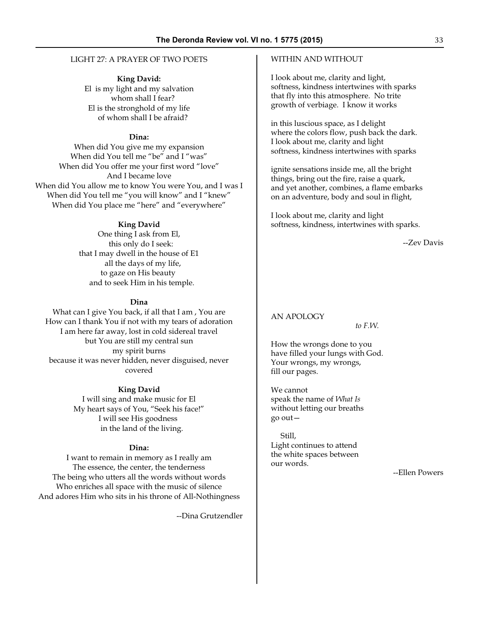#### LIGHT 27: A PRAYER OF TWO POETS

**King David:**

El is my light and my salvation whom shall I fear? El is the stronghold of my life of whom shall I be afraid?

#### **Dina:**

When did You give me my expansion When did You tell me "be" and I "was" When did You offer me your first word "love" And I became love When did You allow me to know You were You, and I was I When did You tell me "you will know" and I "knew" When did You place me "here" and "everywhere"

#### **King David**

One thing I ask from El, this only do I seek: that I may dwell in the house of E1 all the days of my life, to gaze on His beauty and to seek Him in his temple.

#### **Dina**

What can I give You back, if all that I am , You are How can I thank You if not with my tears of adoration I am here far away, lost in cold sidereal travel but You are still my central sun my spirit burns because it was never hidden, never disguised, never covered

#### **King David**

I will sing and make music for El My heart says of You, "Seek his face!" I will see His goodness in the land of the living.

#### **Dina:**

I want to remain in memory as I really am The essence, the center, the tenderness The being who utters all the words without words Who enriches all space with the music of silence And adores Him who sits in his throne of All-Nothingness

--Dina Grutzendler

#### WITHIN AND WITHOUT

I look about me, clarity and light, softness, kindness intertwines with sparks that fly into this atmosphere. No trite growth of verbiage. I know it works

in this luscious space, as I delight where the colors flow, push back the dark. I look about me, clarity and light softness, kindness intertwines with sparks

ignite sensations inside me, all the bright things, bring out the fire, raise a quark, and yet another, combines, a flame embarks on an adventure, body and soul in flight,

I look about me, clarity and light softness, kindness, intertwines with sparks.

--Zev Davis

#### AN APOLOGY

*to F.W.*

How the wrongs done to you have filled your lungs with God. Your wrongs, my wrongs, fill our pages.

We cannot speak the name of *What Is* without letting our breaths go out—

 Still, Light continues to attend the white spaces between our words.

--Ellen Powers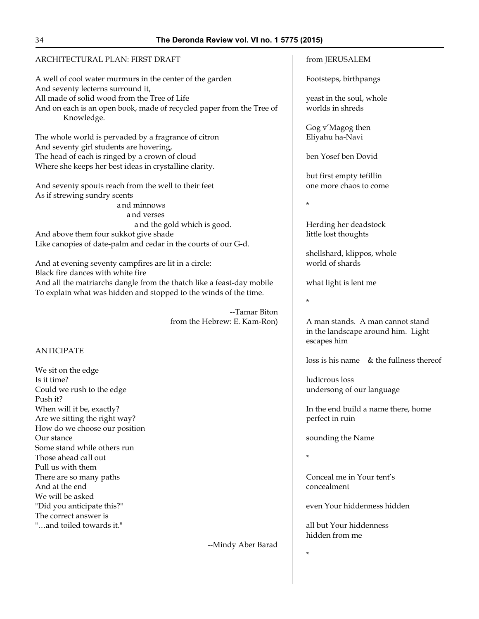# ARCHITECTURAL PLAN: FIRST DRAFT

A well of cool water murmurs in the center of the garden And seventy lecterns surround it, All made of solid wood from the Tree of Life And on each is an open book, made of recycled paper from the Tree of Knowledge.

The whole world is pervaded by a fragrance of citron And seventy girl students are hovering, The head of each is ringed by a crown of cloud Where she keeps her best ideas in crystalline clarity.

And seventy spouts reach from the well to their feet As if strewing sundry scents

 and minnows a nd verses a nd the gold which is good. And above them four sukkot give shade Like canopies of date-palm and cedar in the courts of our G-d.

And at evening seventy campfires are lit in a circle: Black fire dances with white fire And all the matriarchs dangle from the thatch like a feast-day mobile To explain what was hidden and stopped to the winds of the time.

> --Tamar Biton from the Hebrew: E. Kam-Ron)

# ANTICIPATE

We sit on the edge Is it time? Could we rush to the edge Push it? When will it be, exactly? Are we sitting the right way? How do we choose our position Our stance Some stand while others run Those ahead call out Pull us with them There are so many paths And at the end We will be asked "Did you anticipate this?" The correct answer is "…and toiled towards it."

--Mindy Aber Barad

# from JERUSALEM

Footsteps, birthpangs

yeast in the soul, whole worlds in shreds

Gog v'Magog then Eliyahu ha-Navi

ben Yosef ben Dovid

but first empty tefillin one more chaos to come

\*

Herding her deadstock little lost thoughts

shellshard, klippos, whole world of shards

what light is lent me

\*

A man stands. A man cannot stand in the landscape around him. Light escapes him

loss is his name & the fullness thereof

ludicrous loss undersong of our language

In the end build a name there, home perfect in ruin

sounding the Name

\*

\*

Conceal me in Your tent's concealment

even Your hiddenness hidden

all but Your hiddenness hidden from me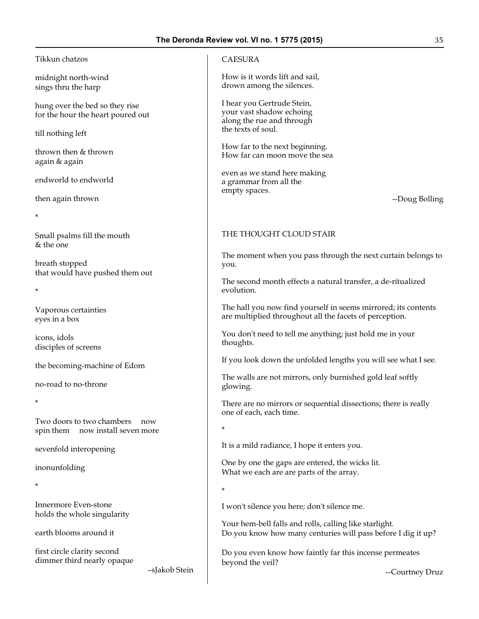#### Tikkun chatzos

midnight north-wind sings thru the harp

hung over the bed so they rise for the hour the heart poured out

till nothing left

thrown then & thrown again & again

endworld to endworld

then again thrown

\*

\*

Small psalms fill the mouth & the one

breath stopped that would have pushed them out

Vaporous certainties eyes in a box

icons, idols disciples of screens

the becoming-machine of Edom

no-road to no-throne

\*

Two doors to two chambers now spin them now install seven more

sevenfold interopening

inonunfolding

\*

Innermore Even-stone holds the whole singularity

earth blooms around it

first circle clarity second dimmer third nearly opaque

–sJakob Stein

### CAESURA

How is it words lift and sail, drown among the silences.

I hear you Gertrude Stein, your vast shadow echoing along the rue and through the texts of soul.

How far to the next beginning. How far can moon move the sea

even as we stand here making a grammar from all the empty spaces.

--Doug Bolling

# THE THOUGHT CLOUD STAIR

The moment when you pass through the next curtain belongs to you.

The second month effects a natural transfer, a de-ritualized evolution.

The hall you now find yourself in seems mirrored; its contents are multiplied throughout all the facets of perception.

You don't need to tell me anything; just hold me in your thoughts.

If you look down the unfolded lengths you will see what I see.

The walls are not mirrors, only burnished gold leaf softly glowing.

There are no mirrors or sequential dissections; there is really one of each, each time.

\*

It is a mild radiance, I hope it enters you.

One by one the gaps are entered, the wicks lit. What we each are are parts of the array.

\*

I won't silence you here; don't silence me.

Your hem-bell falls and rolls, calling like starlight. Do you know how many centuries will pass before I dig it up?

Do you even know how faintly far this incense permeates beyond the veil?

--Courtney Druz